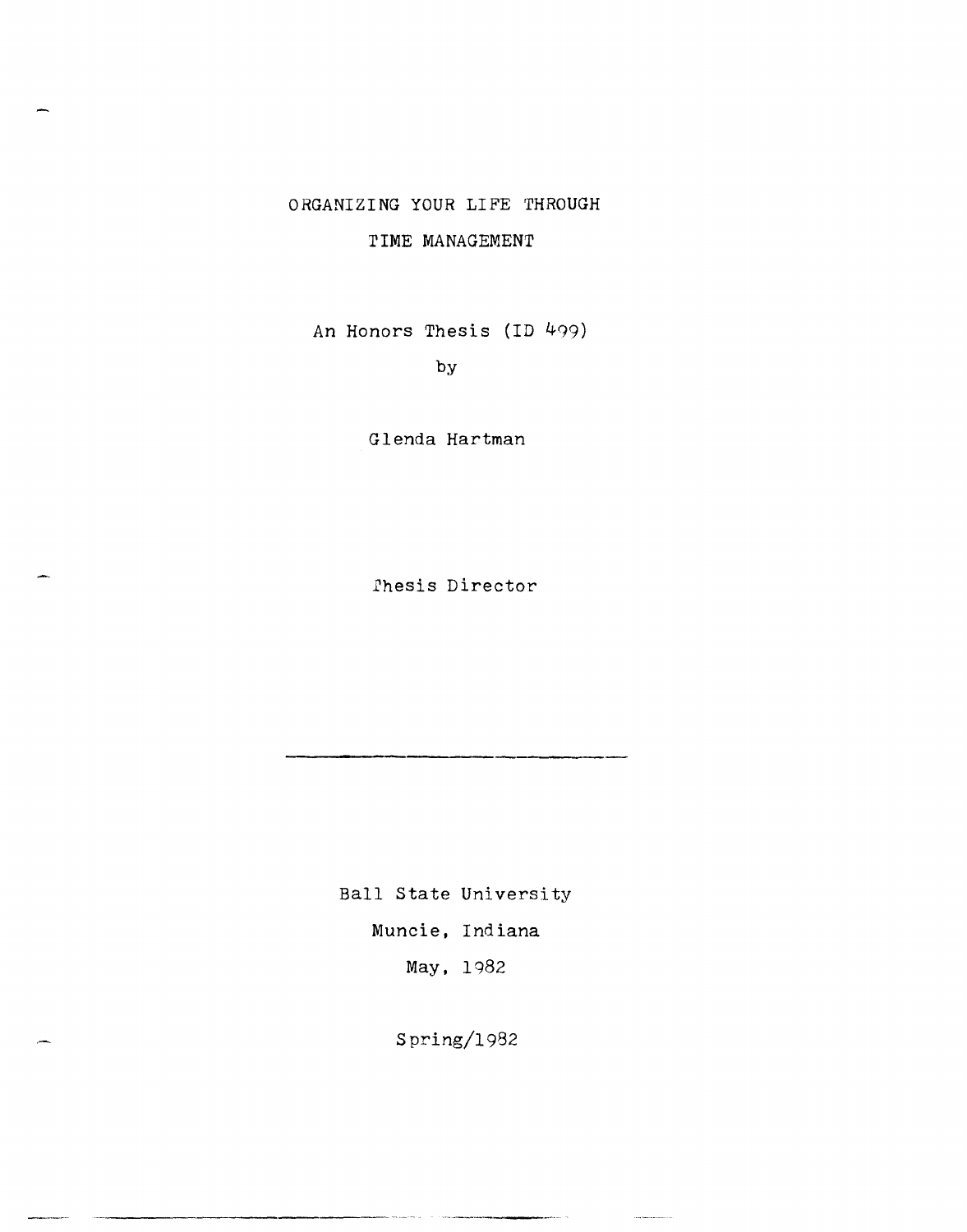# ORGANIZING YOUR LIFE THROUGH

# TIME MANAGEMENT

An Honors Thesis (ID 499)

by

Glenda Hartman

fhesis Director

Ball State University Muncie, Indiana May, 1982

Spring/1982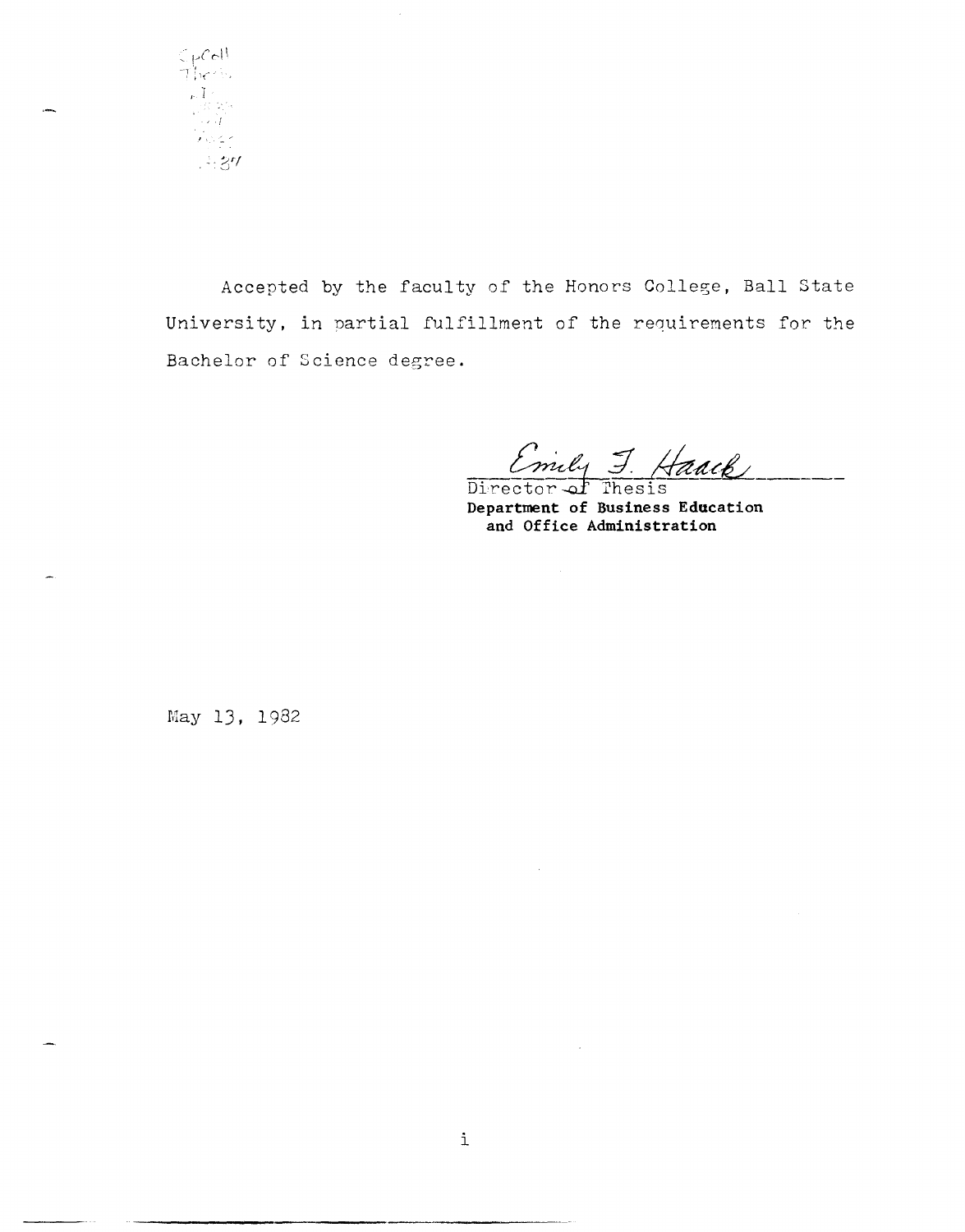$\frac{1}{\sqrt{2}}$  $\begin{array}{l} \mathbf{p}_{1} \, \mathbf{I}_{1} \\ \mathbf{p}_{2} \, \mathbf{f}_{2} \\ \mathbf{p}_{3} \, \mathbf{f}_{3} \\ \mathbf{p}_{4} \, \mathbf{f}_{4} \\ \mathbf{p}_{5} \, \mathbf{f}_{5} \\ \mathbf{p}_{6} \, \mathbf{f}_{7} \end{array}$  $437$ 

Accepted by the faculty of the Honors College, Ball State University, in partial fulfillment of the requirements for the Bachelor of Science degree.

Emily J. Haack

Director of Thesis Department of Business Education and Office Administration

May 13, 1982

 $\sim$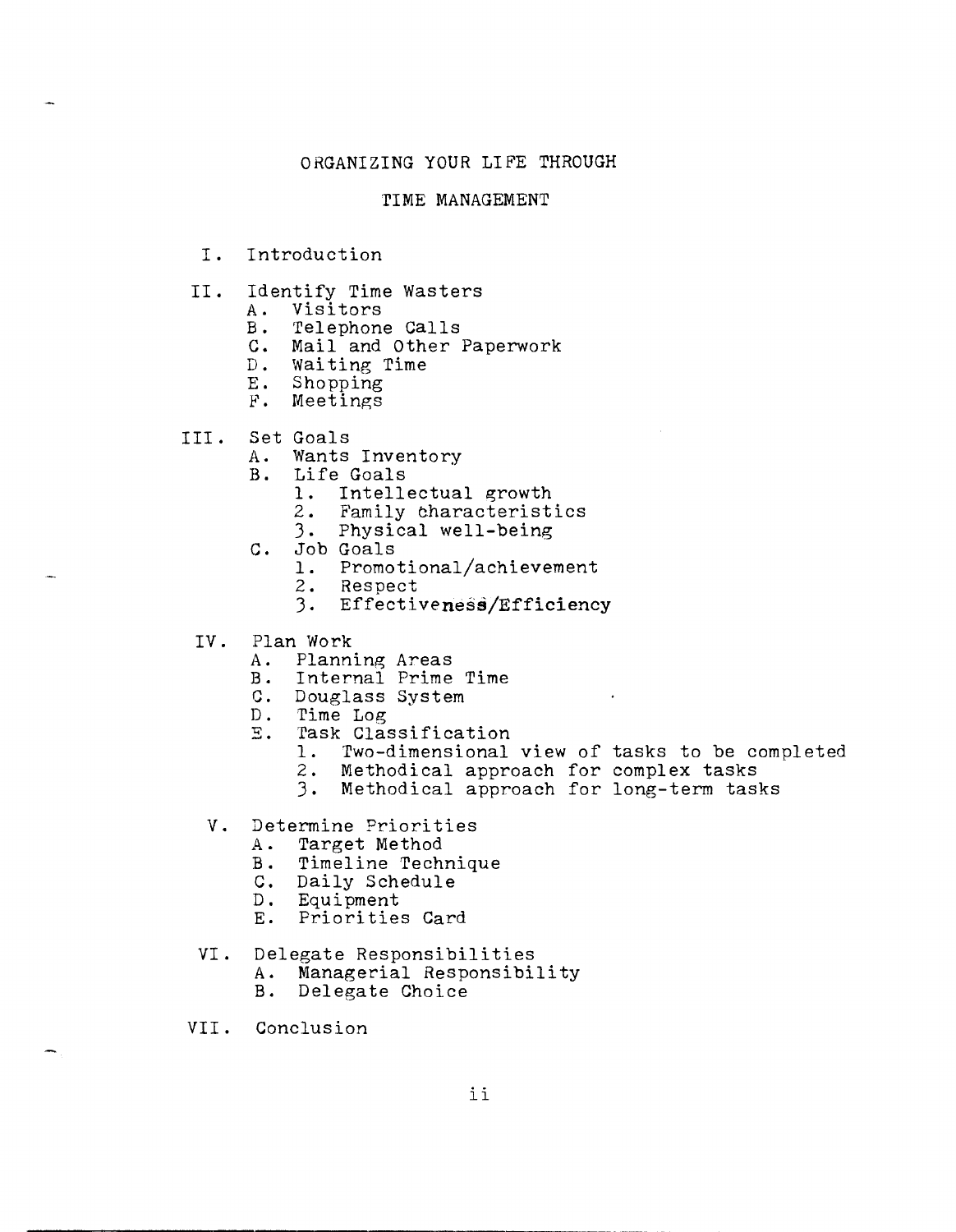# ORGANIZING YOUR LIFE THROUGH

#### TIME MANAGEMENT

- I. Introduction
- II. Identify Time Wasters<br>A. Visitors
	- A. Visitors<br>B. Telephone
		- Telephone Calls
	- c. Mail and Other Paperwork
	- D. Waiting Time<br>E. Shopping
	-
	- E. Shopping F. Meetings
- III. Set Goals
	- A. Wants Inventory
	- B. Life Goals
		- 1. Intellectual growth
		- 2. Family characteristics
		- 3. Physical well-being
	- C. Job Goals
		- 1. Promotional/achievement
		- 2. Resnect
		- 3. Effectiveness/Efficiency
	- IV. Plan Work
		- A. Planning Areas
		- B. Internal Prime Time
		- C. Douglass System<br>D. Time Log
		- D. Time Log<br>E. Task Clas
		- Task Classification
			- 1. Two-dimensional view of tasks to be completed
			- 2. Methodical approach for complex tasks
			- 3. Methodical approach for long-term tasks
	- V. Determine Priorities
		- Target Method
		- B. Timeline Technique
		- C. Daily Schedule
		- D. Equipment
		- E. Priorities Card
	- VI. Delegate Responsibilities<br>A. Managerial Responsibility<br>B. Delegate Choice
		-
		- Delegate Choice
- VII. Conclusion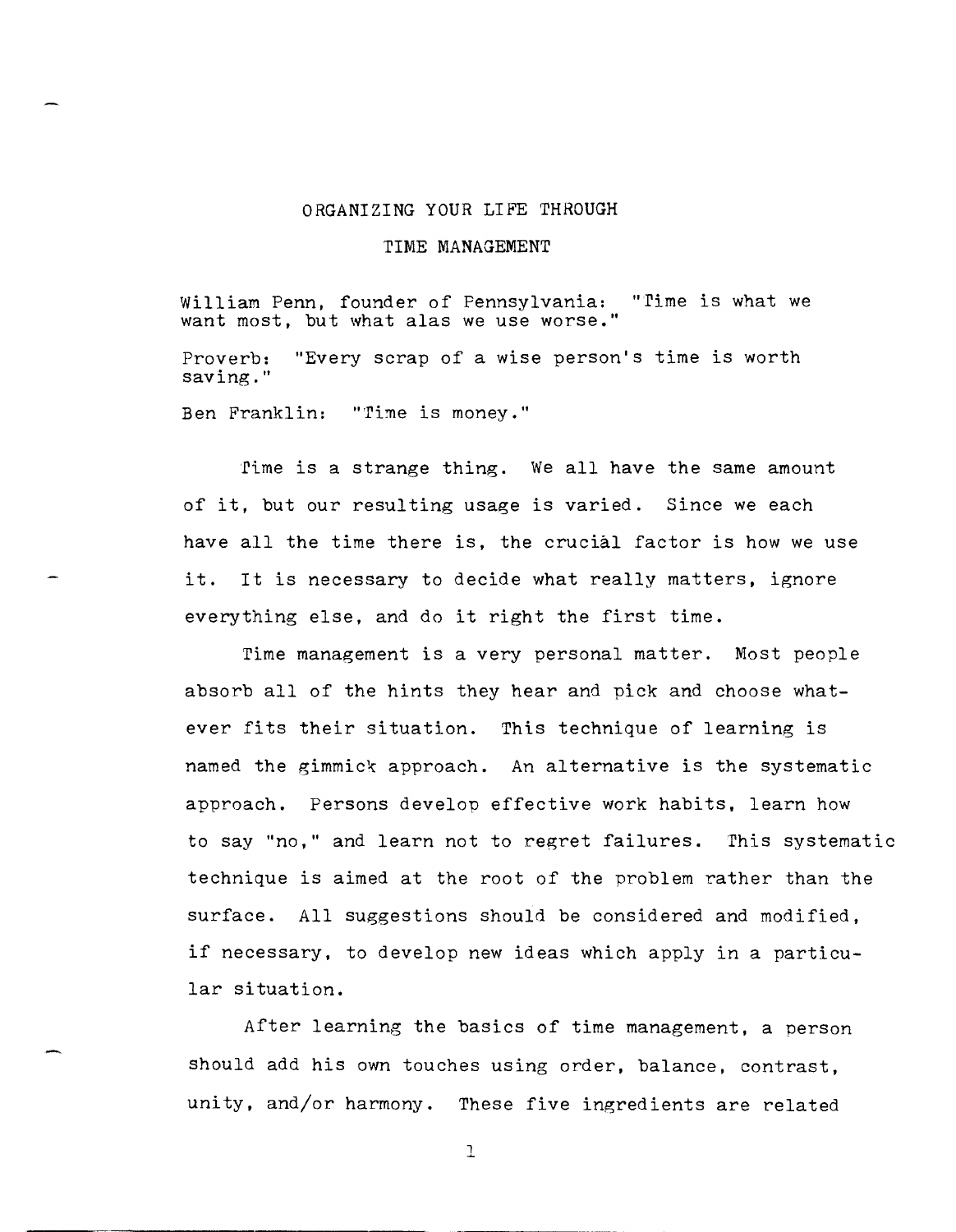#### ORGANIZING YOUR LIFE THROUGH

#### TIME MANAGEMENT

William Penn, founder of Pennsylvania: "Time is what we want most, but what alas we use worse."

Proverb: "Every scrap of a wise person's time is worth saving."

Ben Franklin: "Time is money."

rime is a strange thing. We all have the same amount of it, but our resulting usage is varied. Since we each have all the time there is, the crucial factor is how we use it. It is necessary to decide what really matters, ignore everything else, and do it right the first time.

Time management is a very personal matter. Most people absorb all of the hints they hear and pick and choose whatever fits their situation. This technique of learning is named the gimmick approach. An alternative is the systematic approach. Persons develop effective work habits, learn how to say "no," and learn not to regret failures. This systematic technique is aimed at the root of the problem rather than the surface. All suggestions should be considered and modified, if necessary, to develop new ideas which apply in a particular situation.

After learning the basics of time management, a person should add his own touches using order, balance, contrast, unity, and/or harmony. These five ingredients are related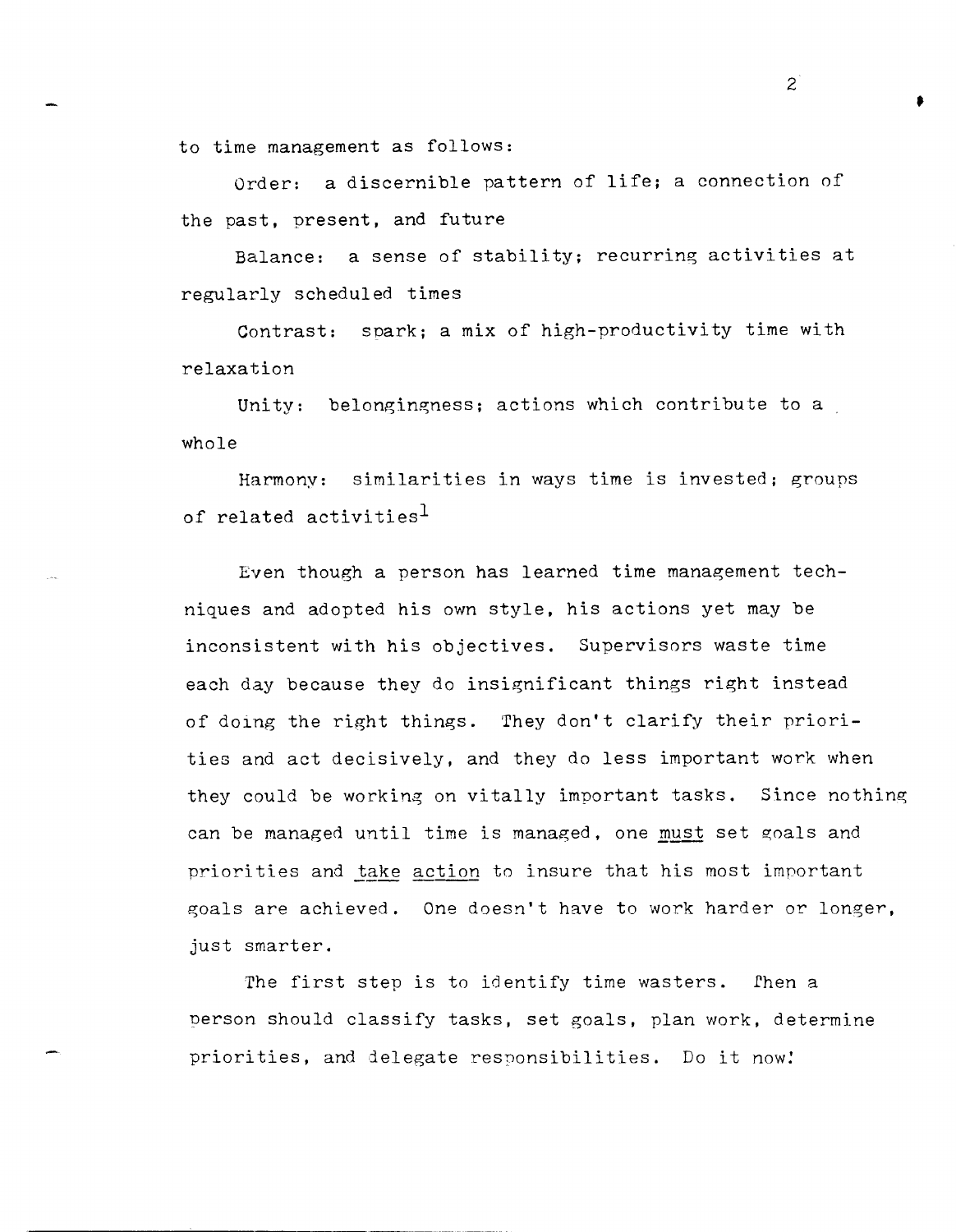to time management as follows:

Order: a discernible pattern of life; a connection of the past, present, and future

Balance: a sense of stability; recurring activities at regularly scheduled times

Contrast: spark; a mix of high-productivity time with relaxation

Unity: belongingness; actions which contribute to a whole

Harmony: similarities in ways time is invested; groups of related activities<sup>1</sup>

Even though a person has learned time management techniques and adopted his own style, his actions yet may be inconsistent with his objectives. Supervisors waste time each day because they do insignificant things right instead of doing the right things. They don't clarify their priorities and act decisively, and they do less important work when they could be working on vitally important tasks. Since nothing can be managed until time is managed, one must set goals and priorities and take action to insure that his most important goals are achieved. One doesn't have to work harder or longer, just smarter.

The first step is to identify time wasters. Then a person should classify tasks, set goals, plan work, determine priorities, and delegate responsibilities. Do it now!

 $2^{\degree}$ 

•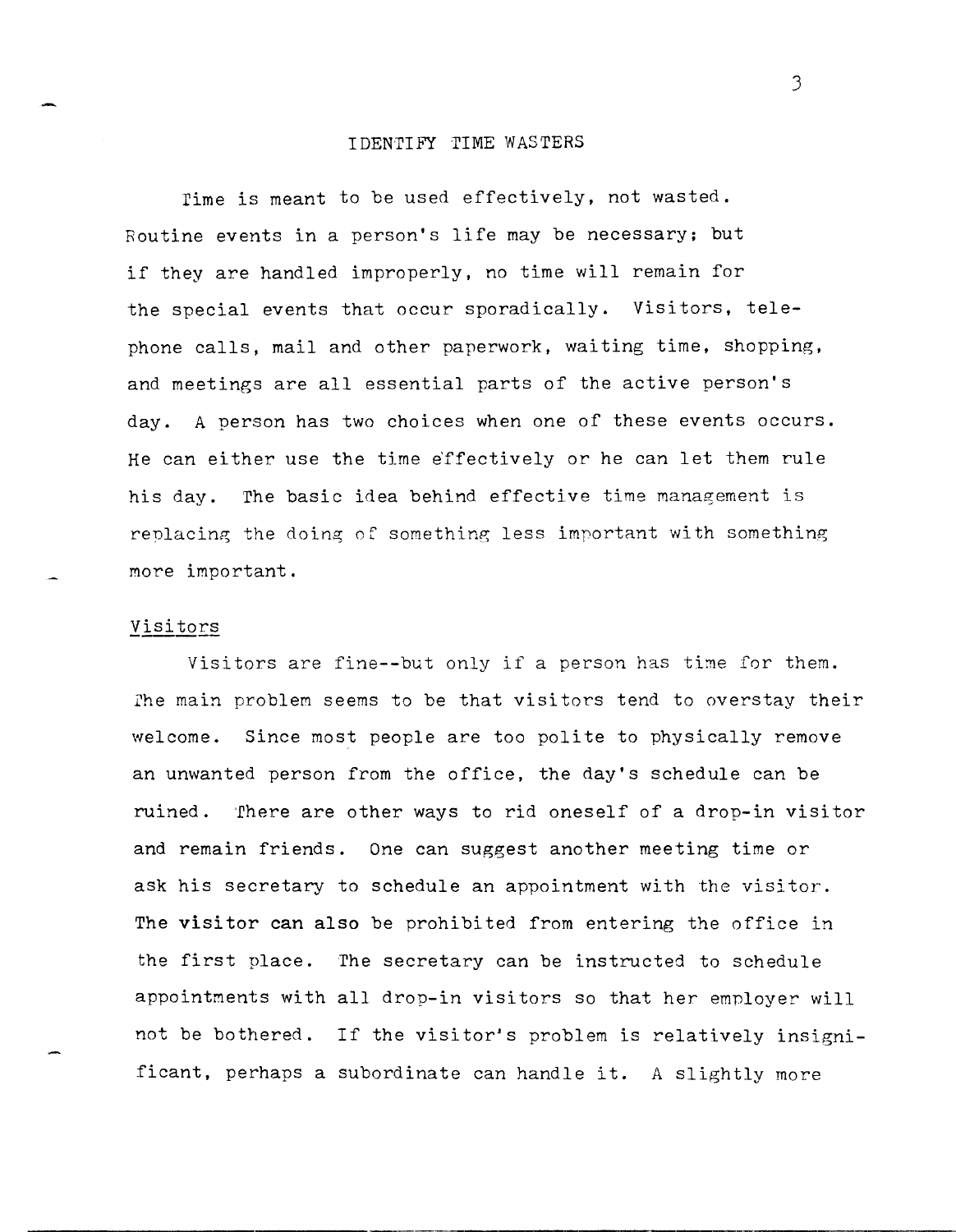#### **IDENTIFY TIME WASTERS**

rime is meant to be used effectively, not wasted. Routine events in a person's life may be necessary; but if they are handled improperly, no time will remain for the special events that occur sporadically. Visitors, telephone calls, mail and other paperwork, waiting time, shopping, and meetings are all essential parts of the active person's day. A person has two choices when one of these events occurs. He can either use the time effectively or he can let them rule his day. The basic idea behind effective time management is replacing the doing of something less important with something more important.

#### Visitors

Visitors are fine--but only if a person has time for them. rhe main problem seems to be that visitors tend to overstay their welcome. Since most people are too polite to physically remove an unwanted person from the office, the day's schedule can be ruined. There are other ways to rid oneself of a drop-in visitor and remain friends. One can suggest another meeting time or ask his secretary to schedule an appointment with the visitor. The visitor can also be prohibited from entering the office in the first place. The secretary can be instructed to schedule appointments with all drop-in visitors so that her employer will not be bothered. If the visitor's problem is relatively insignificant, perhaps a subordinate can handle it. A slightly more

J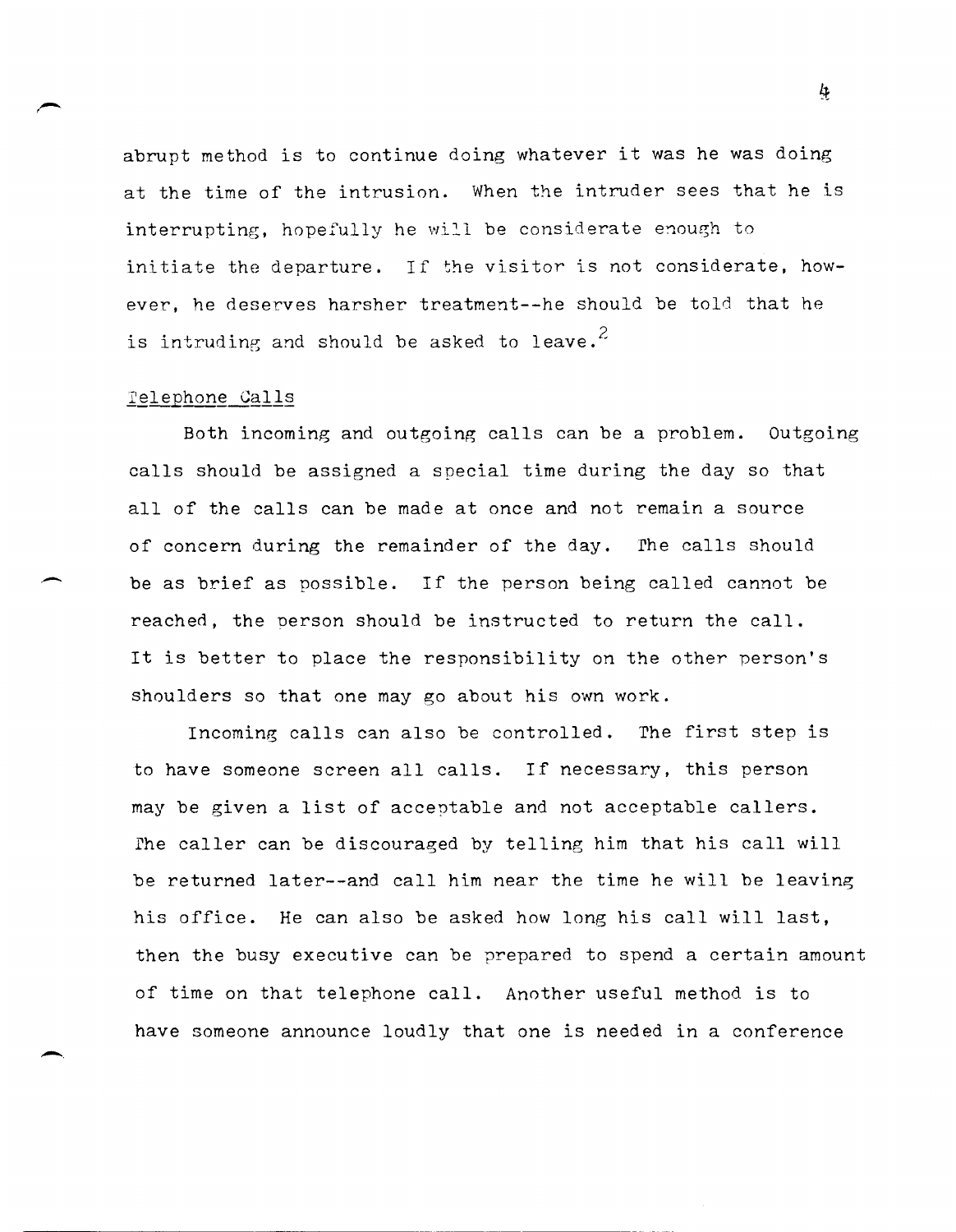abrupt method is to continue doing whatever it was he was doing at the time of the intrusion. When the intruder sees that he is interrupting, hopefully he will be considerate enough to initiate the departure. If the visitor is not considerate, however, he deserves harsher treatment--he should be told that he is intruding and should be asked to leave.<sup>2</sup>

#### Telephone Calls

 $\overline{\phantom{0}}$ 

-.

Both incoming and outgoing calls can be a problem. Outgoing calls should be assigned a special time during the day so that all of the calls can be made at once and not remain a source of concern during the remainder of the day. The calls should be as brief as possible. If the person being called cannot be reached, the Derson should be instructed to return the call. It is better to place the responsibility on the other person's shoulders so that one may go about his own work.

Incoming calls can also be controlled. The first step is to have someone screen all calls. If necessary, this person may be given a list of acceptable and not acceptable callers. The caller can be discouraged by telling him that his call will be returned later--and call him near the time he will be leaving his office. He can also be asked how long his call will last, then the busy executive can be prepared to spend a certain amount of time on that telephone call. Another useful method is to have someone announce loudly that one is needed in a conference

ķ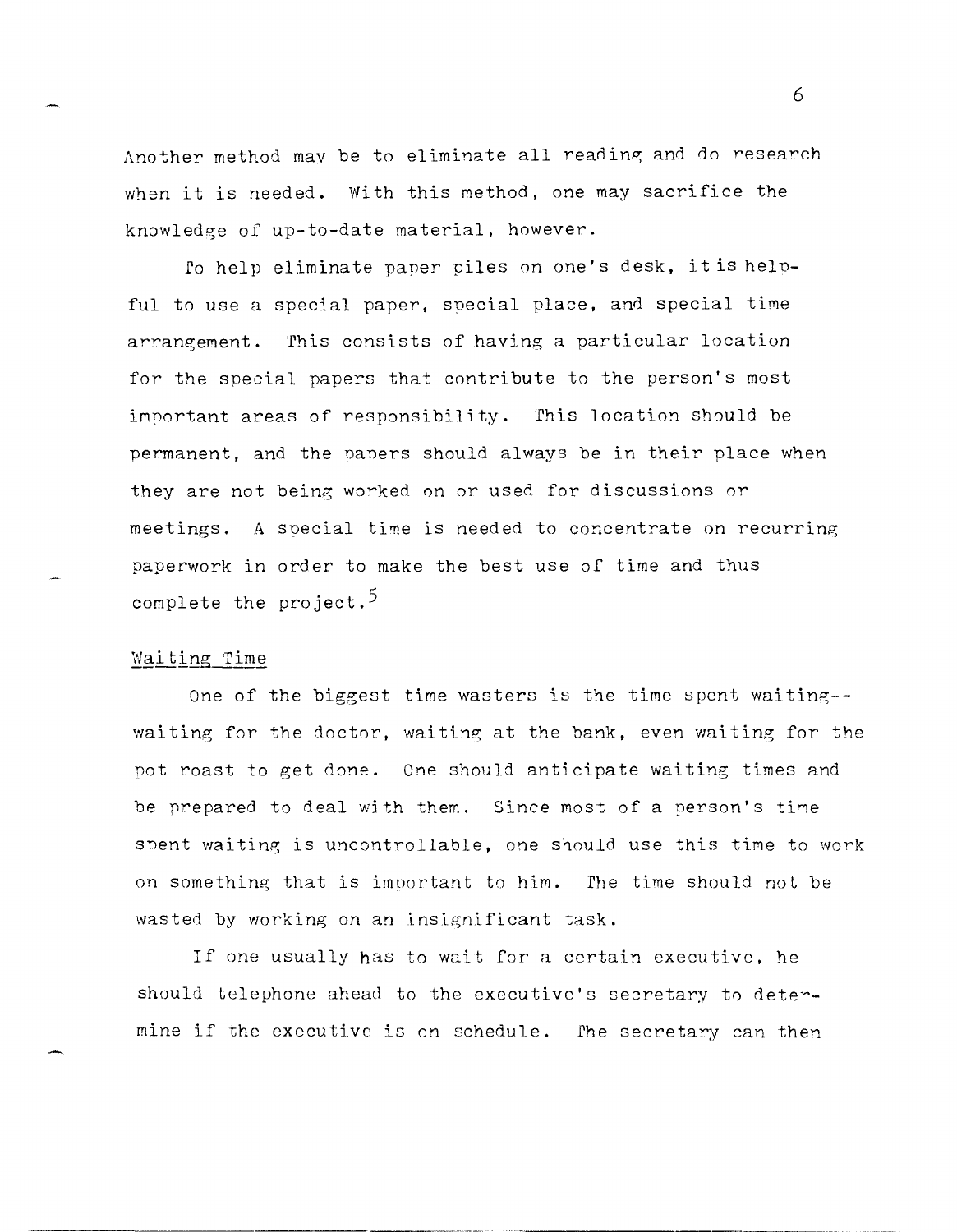Another method may be to eliminate all reading and do research when it is needed. With this method, one may sacrifice the knowledge of up-to-date material, however.

*Eo* help eliminate paner piles on one's desk, it is helpful to use a special paper, soecial place, and special time arrangement. This consists of having a particular location for the special papers that contribute to the person's most important areas of responsibility. Ehis location should be permanent, and the papers should always be in their place when they are not being worked on or used for discussions or meetings. A special time is needed to concentrate on recurring paperwork in order to make the best use of time and thus complete the project.<sup>5</sup>

#### **\_\_\_\_\_\_** Waitina **0 \_\_\_\_** Time **\_**

One of the biggest time wasters is the time spent waiting-waiting for the doctor, waiting at the bank, even waiting for the pot roast to get done. One should anticipate waiting times and be prepared to deal with them. Since most of a person's time spent waiting is uncontrollable, one should use this time to work on something that is important to him. The time should not be wasted by working on an insignificant task.

If one usually has to wait for a certain executive. he should telephone ahead to the executive's secretary to determine if the executive is on schedule. Ehe secretary can then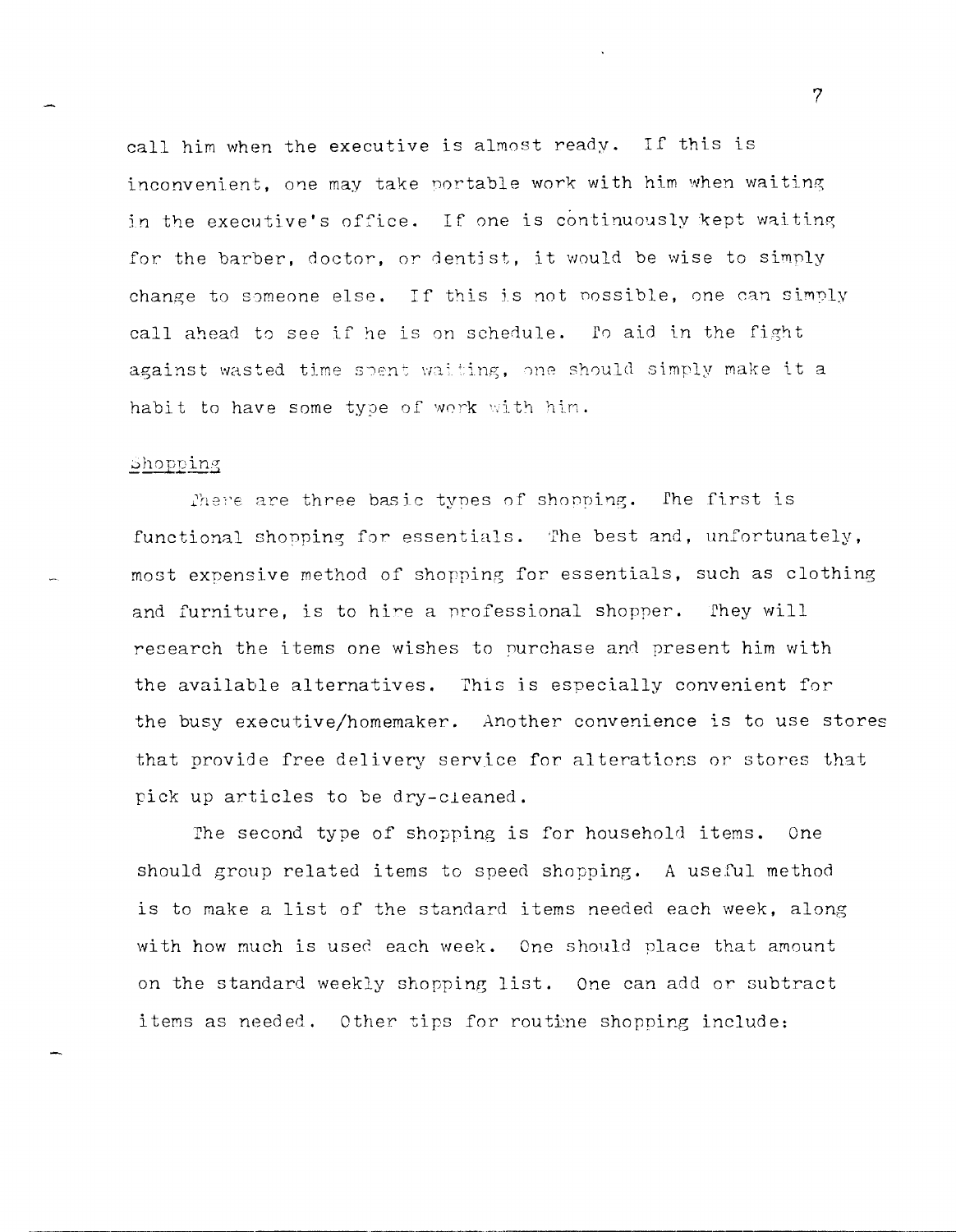call him when the executive is almost ready. If this is inconvenient, one may take portable work with him when waiting in the executive's office. If one is continuously kept waiting for the barber, doctor, or dentist, it would be wise to simply change to someone else. If this is not possible, one can simply call ahead to see if he is on schedule. fo aid in the fight against wasted time spent waiting, one should simply make it a habit to have some type of work with him.

#### Shopping

There are three basic tynes of shopping. The first is functional shopping for essentials. The best and, unfortunately, most expensive method of shopping for essentials, such as clothing and furniture, is to hire a professional shopper. They will research the items one wishes to nurchase and present him with the available alternatives. This is especially convenient for the busy executive/homemaker. Another convenience is to use stores that provide free delivery service for alterations or stores that pick up articles to be dry-cleaned.

The second type of shopping is for household items. One should group related items to speed shopping. A useful method is to make a list of the standard items needed each week, along with how much is used each week. One should place that amount on the standard weekly shopping list. One can add or subtract items as needed. Other tips for routine shopping include:

,----,----------,,----------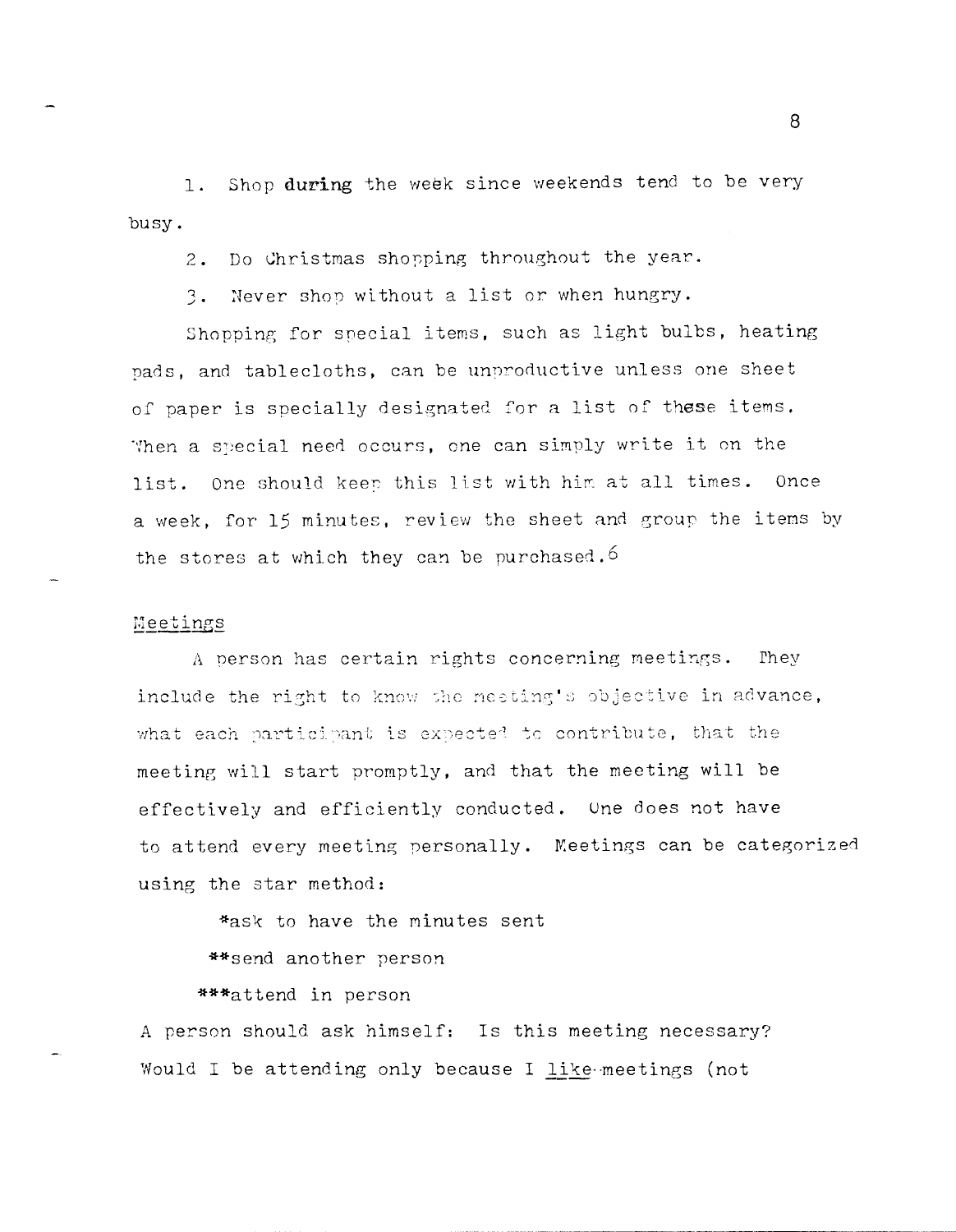Shop during the week since weekends tend to be very  $1.$ busy.

Do Christmas shopping throughout the year.  $2.$ 

Never shop without a list or when hungry.  $3.$ 

Shopping for special items, such as light bulbs, heating pads, and tablecloths, can be unproductive unless one sheet of paper is specially designated for a list of these items. When a special need occurs, one can simply write it on the list. One should keep this list with him at all times. Once a week, for 15 minutes, review the sheet and group the items by the stores at which they can be purchased.<sup>6</sup>

#### Meetings

A person has certain rights concerning meetings. They include the right to know the meeting's objective in advance, what each participant is expected to contribute, that the meeting will start promptly, and that the meeting will be effectively and efficiently conducted. One does not have to attend every meeting personally. Meetings can be categorized using the star method:

\*ask to have the minutes sent

\*\* send another person

\*\*\*attend in person

A person should ask himself: Is this meeting necessary? Would I be attending only because I like meetings (not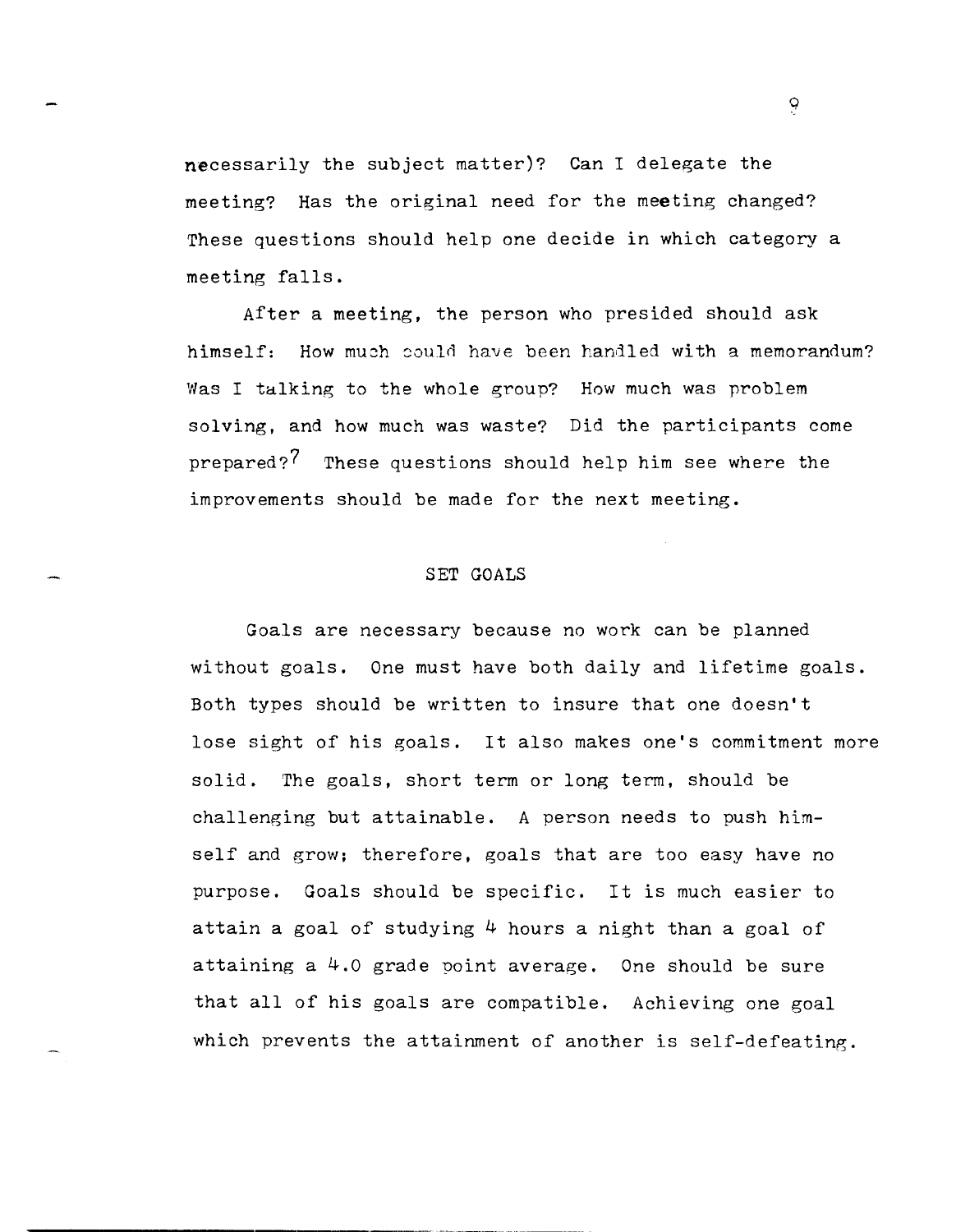necessarily the subject matter)? Can I delegate the meeting? Has the original need for the meeting changed? These questions should help one decide in which category a meeting falls.

After a meeting, the person who presided should ask himself: How much could have been handled with a memorandum? Was I talking to the whole group? How much was problem solving, and how much was waste? Did the participants come prepared?<sup>7</sup> These questions should help him see where the improvements should be made for the next meeting.

# SET GOALS

,-------- \_.-.- ------\_ ..

Goals are necessary because no work can be planned without goals. One must have both daily and lifetime goals. Both types should be written to insure that one doesn't lose sight of his goals. It also makes one's commitment more solid. The goals, short term or long term, should be challenging but attainable. A person needs to push himself and grow; therefore, goals that are too easy have no purpose. Goals should be specific. It is much easier to attain a goal of studying  $4$  hours a night than a goal of attaining a 4.0 grade point average. One should be sure that all of his goals are compatible. Achieving one goal which prevents the attainment of another is self-defeating.

*q*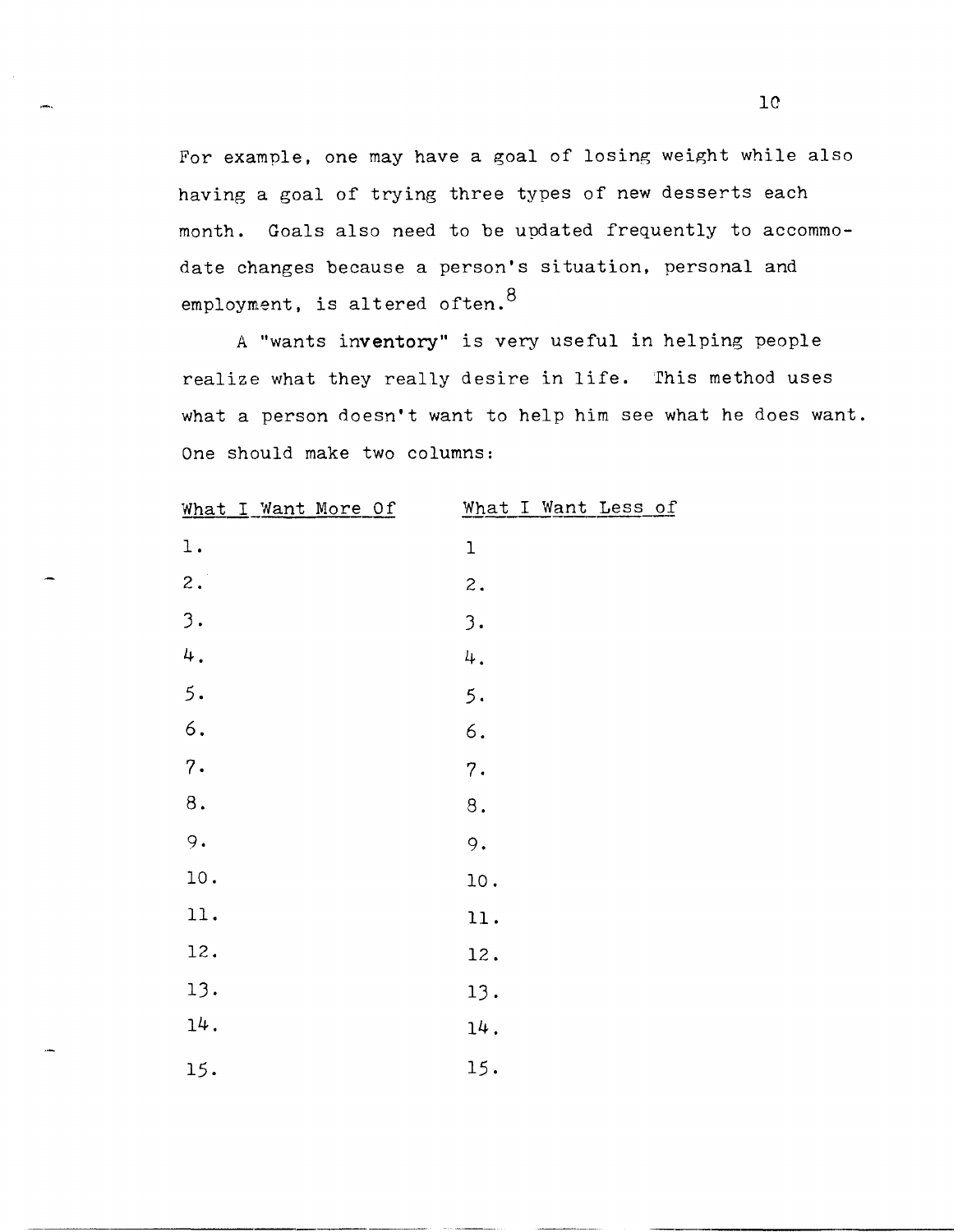For example, one may have a goal of losing weight while also having a goal of trying three types of new desserts each month. Goals also need to be updated frequently to accommodate changes because a person's situation, personal and employment, is altered often.  $8$ 

A "wants inventory" is very useful in helping people realize what they really desire in life. This method uses what a person doesn't want to help him see what he does want. One should make two columns:

| What I Want More Of | What I Want Less of |
|---------------------|---------------------|
| $1$ .               | $\mathbf 1$         |
| $\mathbf 2$ .       | $\mathbf 2$ .       |
| 3.                  | 3.                  |
| 4.                  | 4.                  |
| 5.                  | 5.                  |
| 6.                  | $\epsilon$ .        |
| 7.                  | 7.                  |
| $\bf 8$ .           | $\bf 8$ .           |
| 9.                  | 9.                  |
| 10.                 | 10.                 |
| 11.                 | 11.                 |
| 12.                 | 12.                 |
| 13.                 | 13.                 |
| $14$ .              | 14.                 |
| 15.                 | 15.                 |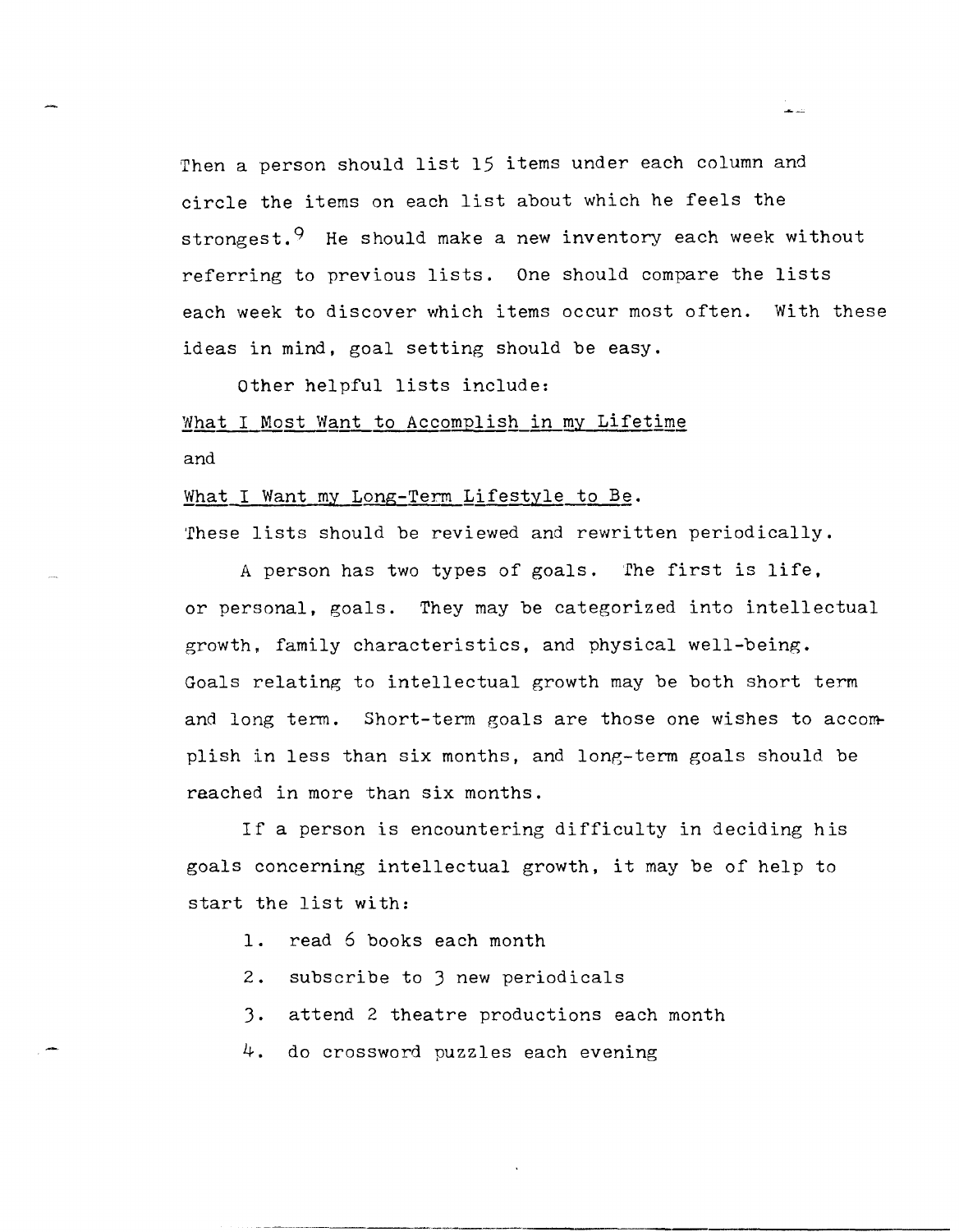'Then a person should list 15 items under each column and circle the items on each list about which he feels the strongest.<sup>9</sup> He should make a new inventory each week without referring to previous lists. One should compare the lists each week to discover which items occur most often. With these ideas in mind, goal setting should be easy.

Other helpful lists include:

# What I Most Want to Accomplish in my Lifetime and

#### What I Want my Long-Term Lifestyle to Be.

These lists should be reviewed and rewritten periodically.

A person has two types of goals. 'fhe first is life, or personal, goals. They may be categorized into intellectual growth. family characteristics, and physical well-being. Goals relating to intellectual growth may be both short term and long term. Short-term goals are those one wishes to accomplish in less than six months, and long-term goals should be reached in more than six months.

If a person is encountering difficulty in deciding his goals concerning intellectual growth, it may be of help to start the list with:

- 1. read 6 books each month
- 2. subscribe to 3 new periodicals
- 3. attend 2 theatre productions each month
- 4. do crossword puzzles each evening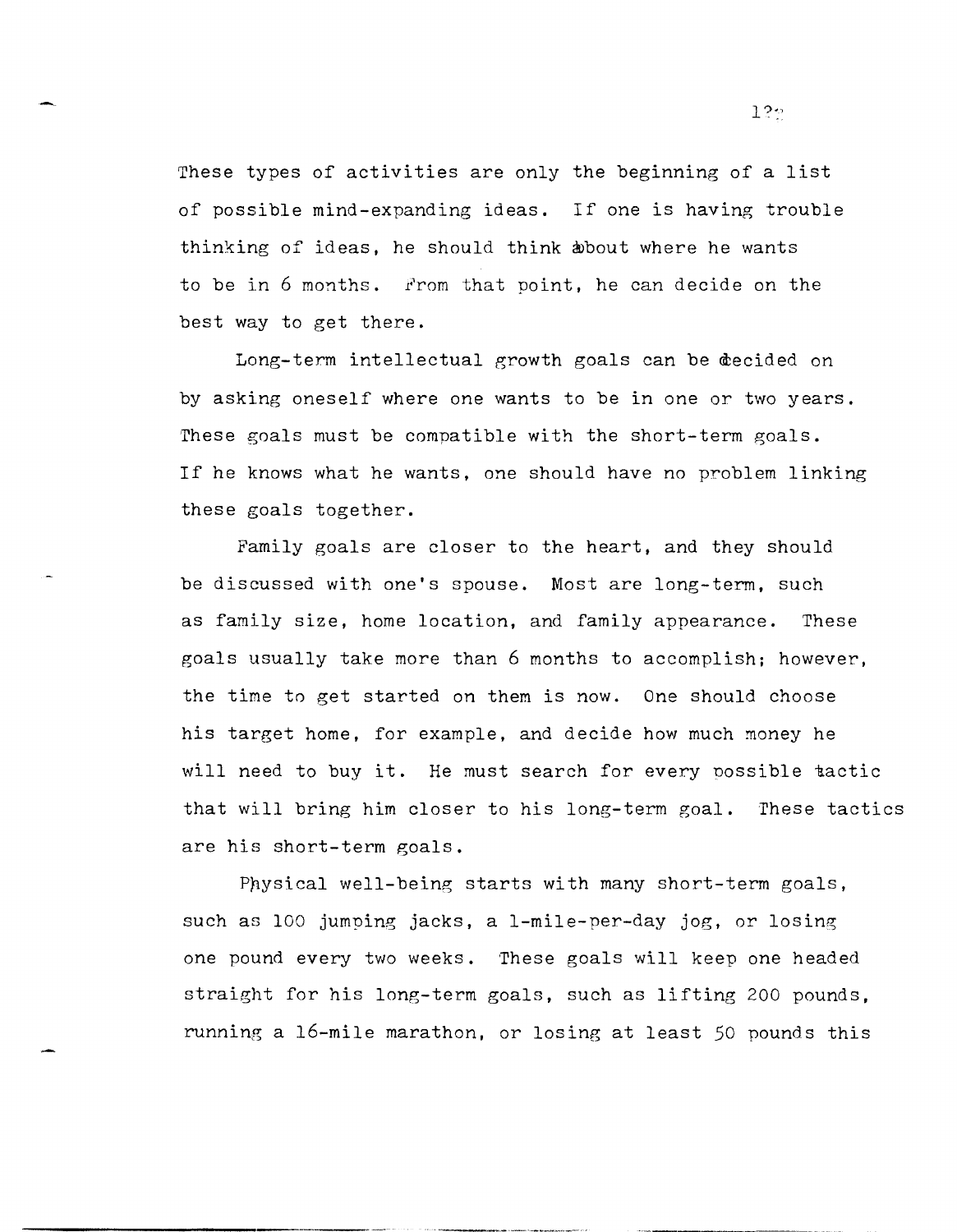These types of activities are only the beginning of a list of possible mind-expanding ideas. If one is having trouble thinking of ideas, he should think about where he wants to be in 6 months. From that point, he can decide on the best way to get there.

Long-term intellectual growth goals can be decided on by asking oneself where one wants to be in one or two years. These goals must be compatible with the short-term goals. If he knows what he wants, one should have no problem linking these goals together.

Family goals are closer to the heart, and they should be discussed with one's spouse. Most are long-term, such as family size, home location, and family appearance. These goals usually take more than 6 months to accomplish; however, the time to get started on them is now. One should choose his target home, for example, and decide how much money he will need to buy it. He must search for every possible tactic that will bring him closer to his long-term goal. These tactics are his short-term goals.

 $P$ hysical well-being starts with many short-term goals, such as 100 jumping jacks, a I-mile-per-day jog, or losing one pound every two weeks. 'These goals will keep one headed straight for his long-term goals, such as lifting 200 pounds, running a 16-mile marathon, or losing at least 50 pounds this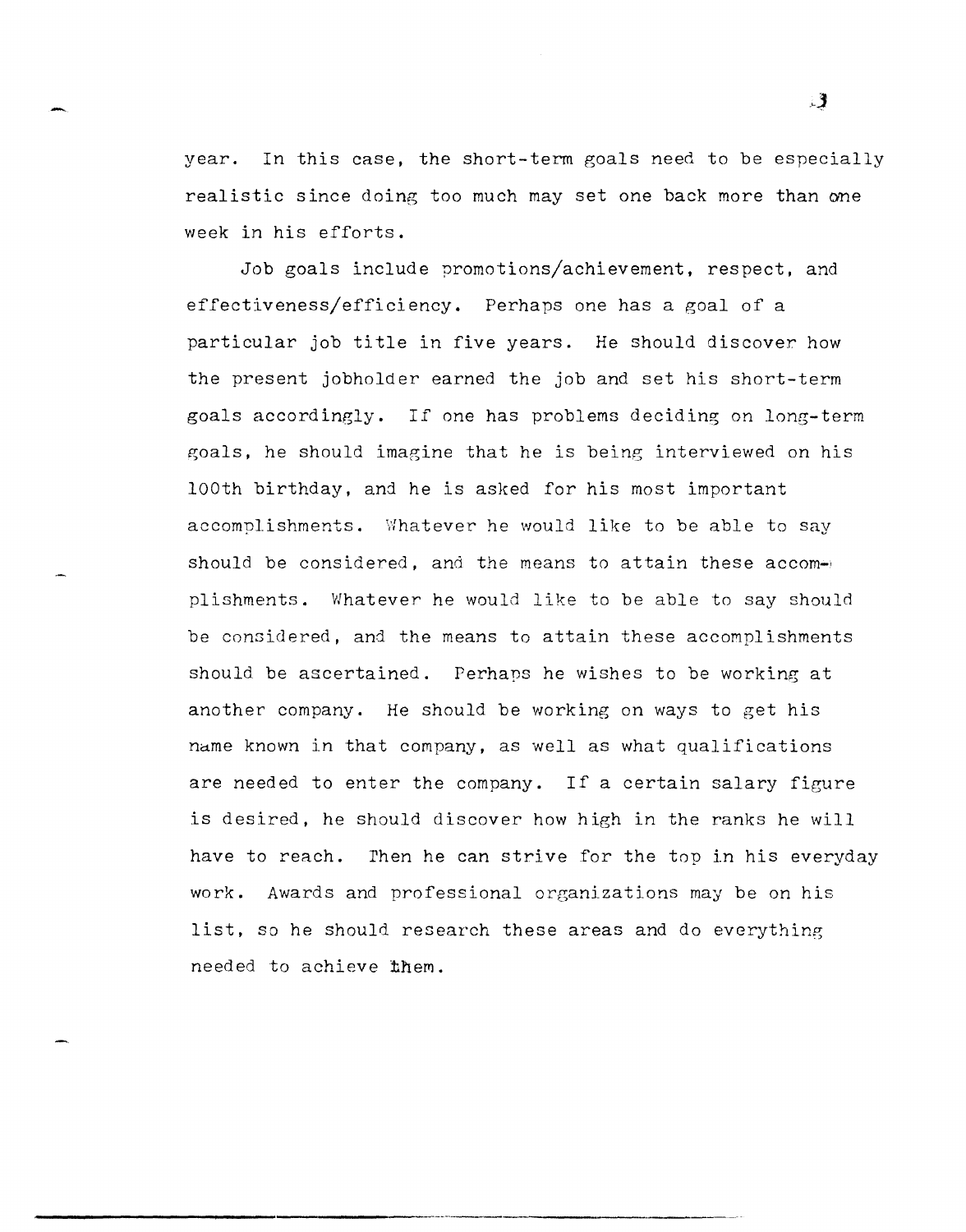year. In this case, the short-term goals need to be especially realistic since doing too much may set one back more than one week in his efforts.

Job goals include promotions/achievement, respect, and effectiveness/efficiency. Perhaps one has a goal of a particular job title in five years. He should discover how the present jobholder earned the job and set his short-term goals accordingly. If one has problems deciding on long-term goals, he should imagine that he is being interviewed on his looth birthday, and he is asked for his most important accomplishments. Whatever he would like to be able to say should be considered, and the means to attain these accomplishments. Whatever he would like to be able to say should be considered, and the means to attain these accomplishments should be ascertained. Perhaps he wishes to be working at another company. He should be working on ways to get his name known in that company, as well as what qualifications are needed to enter the company. If a certain salary figure is desired, he should discover how high in the ranks he will have to reach. Then he can strive for the top in his everyday work. Awards and professional organizations may be on his list, so he should research these areas and do everything needed to achieve them.

----""---"---------

 $\mathbf{3}$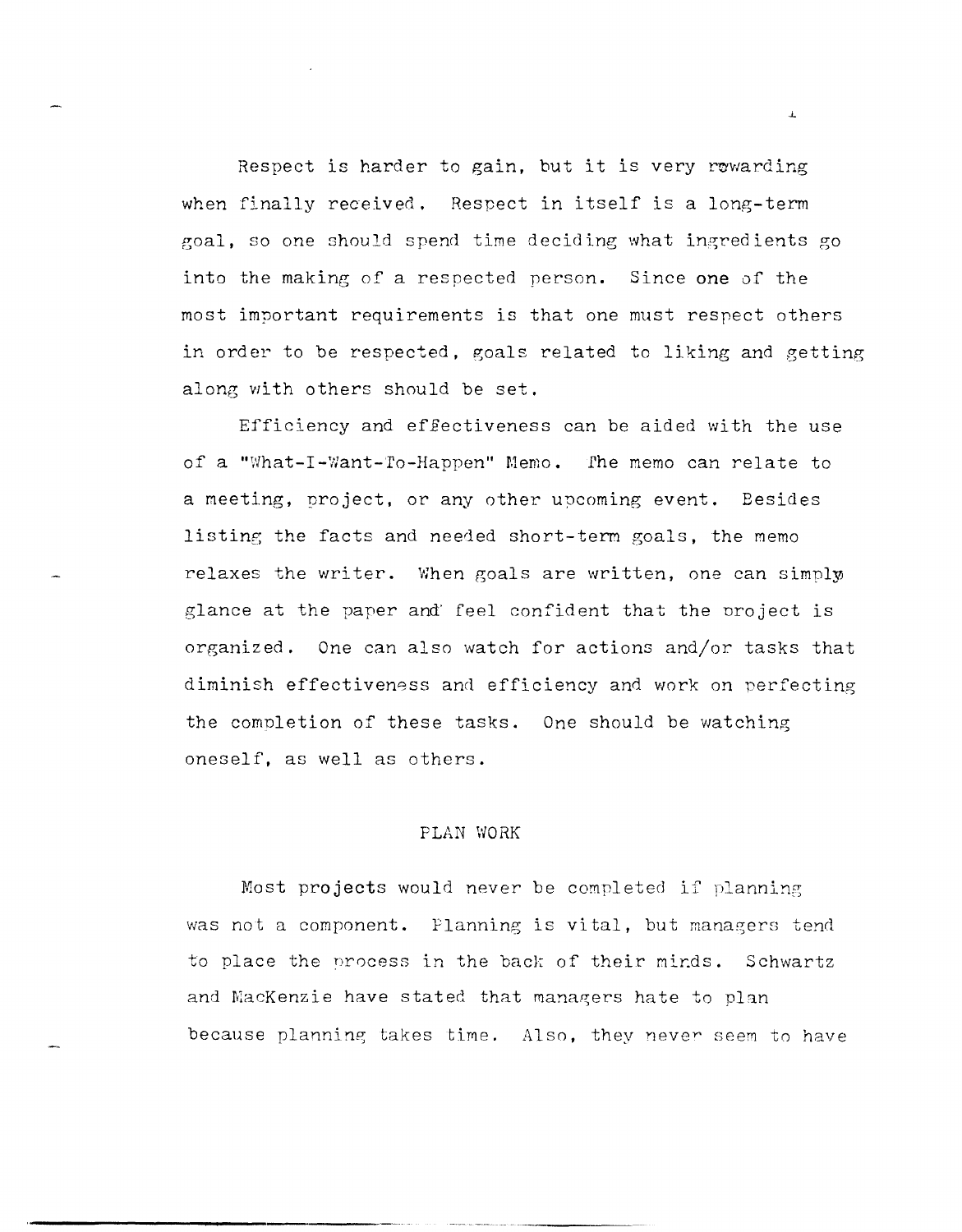Respect is harder to gain, but it is very rewarding when finally received. Respect in itself is a long-term goal, so one should spend time deciding what ingredients go into the making of a respected person. Since one of the most important requirements is that one must respect others in order to be respected, goals related to liking and getting along with others should be set.

Efficiency and effectiveness can be aided with the use of a "What-I-Want-To-Happen" Memo. The memo can relate to a meeting, project, or any other upcoming event. Besides listing the facts and needed short-term goals, the memo relaxes the writer. When goals are written, one can simply glance at the paper and' feel confident that the nroject is organized. One can also watch for actions and/or tasks that diminish effectiveness and efficiency and work on perfecting the comnletion of these tasks. One should be watching oneself, as well as others.

#### PLAN WORK

Most projects would never be completed if planning was not a component. Planning is vital, but managers tend to place the process in the back of their minds. Schwartz and MacKenzie have stated that managers hate to plan because planning takes time. Also, they never seem to have

 $\mathbf{L}$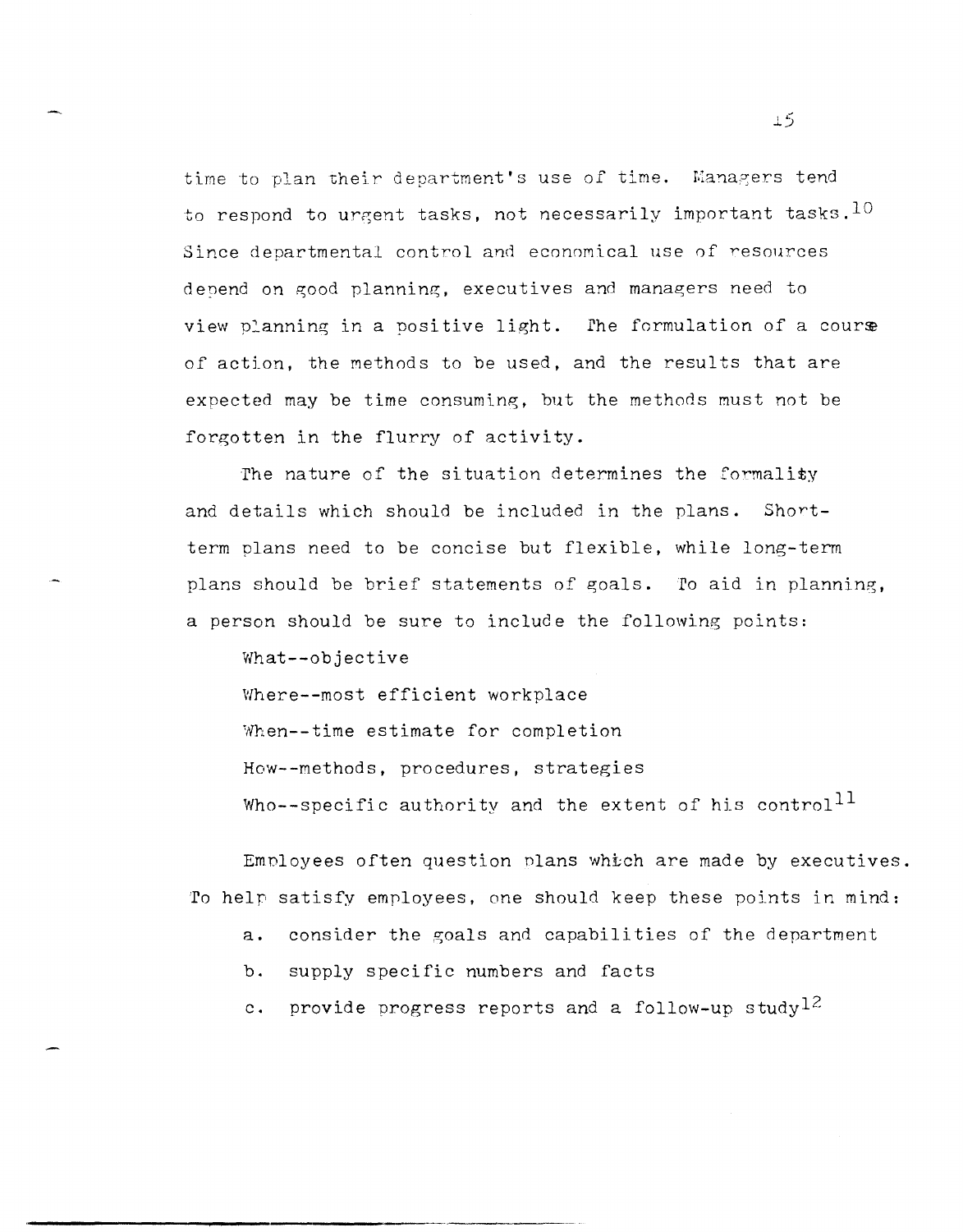time to plan their department's use of time. Managers tend to respond to urgent tasks, not necessarily important tasks.  $10$ Since departmental control and economical use of resources depend on good planning, executives and managers need to view planning in a positive light. The formulation of a course of action, the methods to be used, and the results that are expected may be time consuming, but the methods must not be forgotten in the flurry of activity.

The nature of the situation determines the formality and details which should be included in the plans. Shortterm plans need to be concise but flexible, while long-term plans should be brief statements of goals. To aid in planning, a person should be sure to include the following points:

What--objective Where--most efficient workplace When--time estimate for completion How--methods, procedures, strategies Who--specific authority and the extent of his control<sup>11</sup>

Employees often question plans which are made by executives. To help satisfy employees, one should keep these points in mind:

a. consider the goals and capabilities of the department

b. supply specific numbers and facts

c. provide progress reports and a follow-up study  $12$ 

.1.5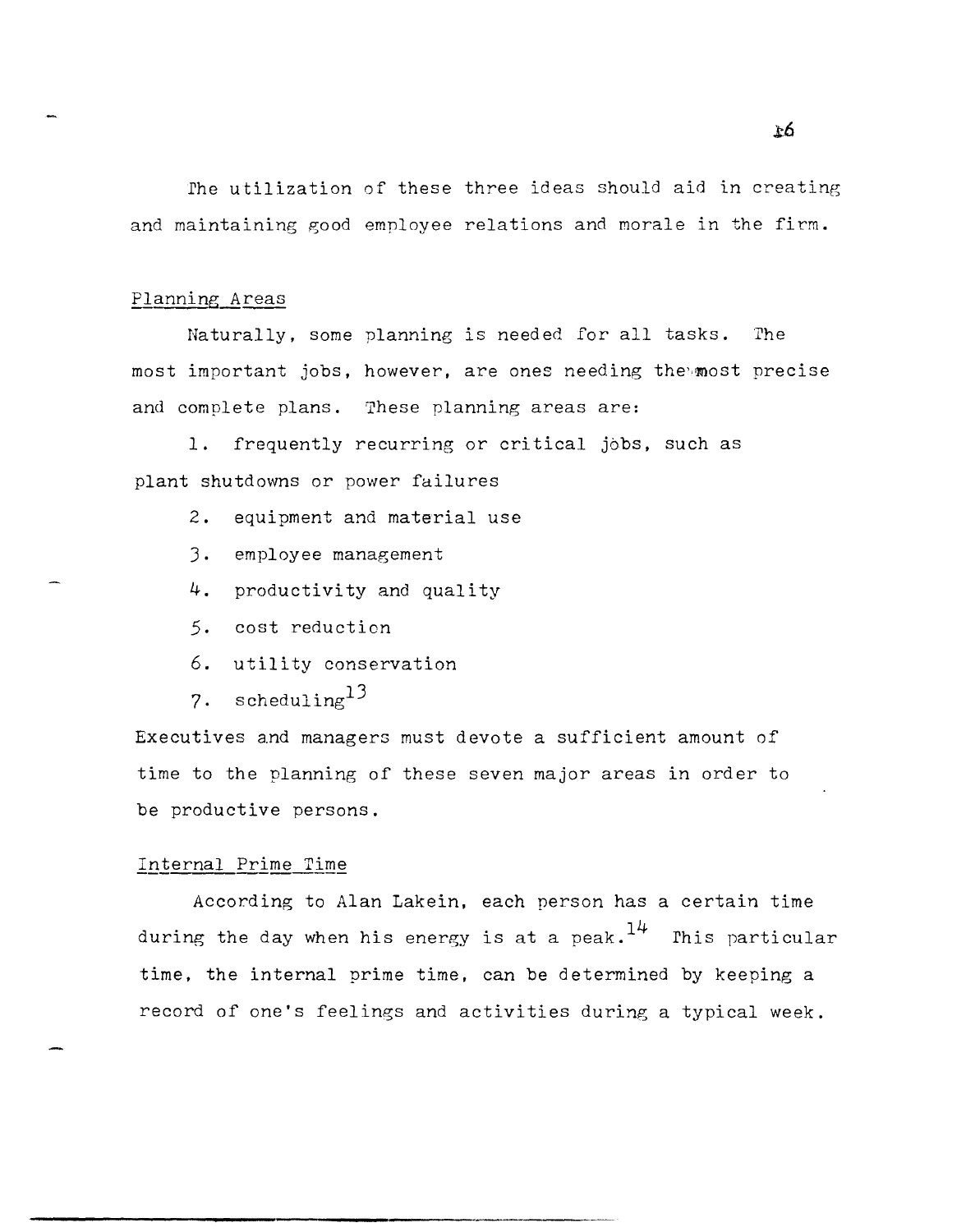rhe utilization of these three ideas should aid in creating and maintaining good employee relations and morale in the firm.

#### Planning Areas

Naturally, some planning is needed for all tasks. The most important jobs, however, are ones needing the most precise and complete plans. These planning areas are:

1. frequently recurring or critical jobs, such as plant shutdowns or power failures

- 2. equipment and material use
- J. employee management
- **4.** productivity and quality
- 5. cost reduction
- 6. utility conservation
- **7.** schedulinglJ

Executives and managers must devote a sufficient amount of time to the planning of these seven major areas in order to be productive persons.

#### Internal Prime Time

According to Alan Lakein, each person has a certain time during the day when his energy is at a peak.  $14$  This particular time, the internal prime time, can be determined by keeping a record of one's feelings and activities during a typical week.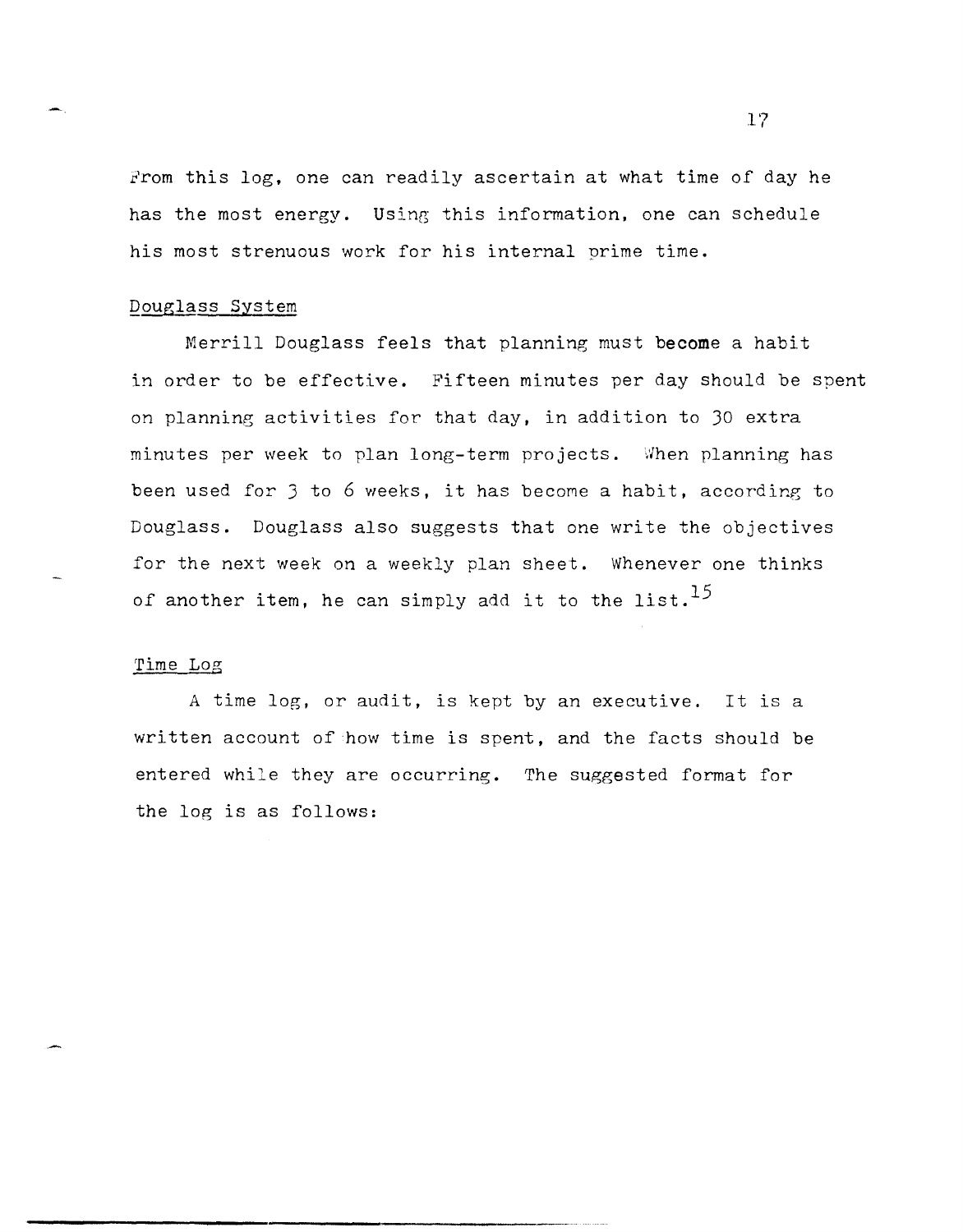From this log, one can readily ascertain at what time of day he has the most energy. Using this information, one can schedule his most strenuous work for his internal prime time.

#### Douglass System

Merrill Douglass feels that planning must **become** a habit in order to be effective. Fifteen minutes per day should be spent on planning activities for that day, in addition to 30 extra minutes per week to plan long-term projects. When planning has been used for 3 to 6 weeks, it has become a habit, according to Douglass. Douglass also suggests that one write the objectives for the next week on a weekly plan sheet. Whenever one thinks of another item, he can simply add it to the list.<sup>15</sup>

#### 'rime Log

A time log, or audit, is kept by an executive. It is a written account of how time is spent, and the facts should be entered while they are occurring. The suggested format for the log is as follows: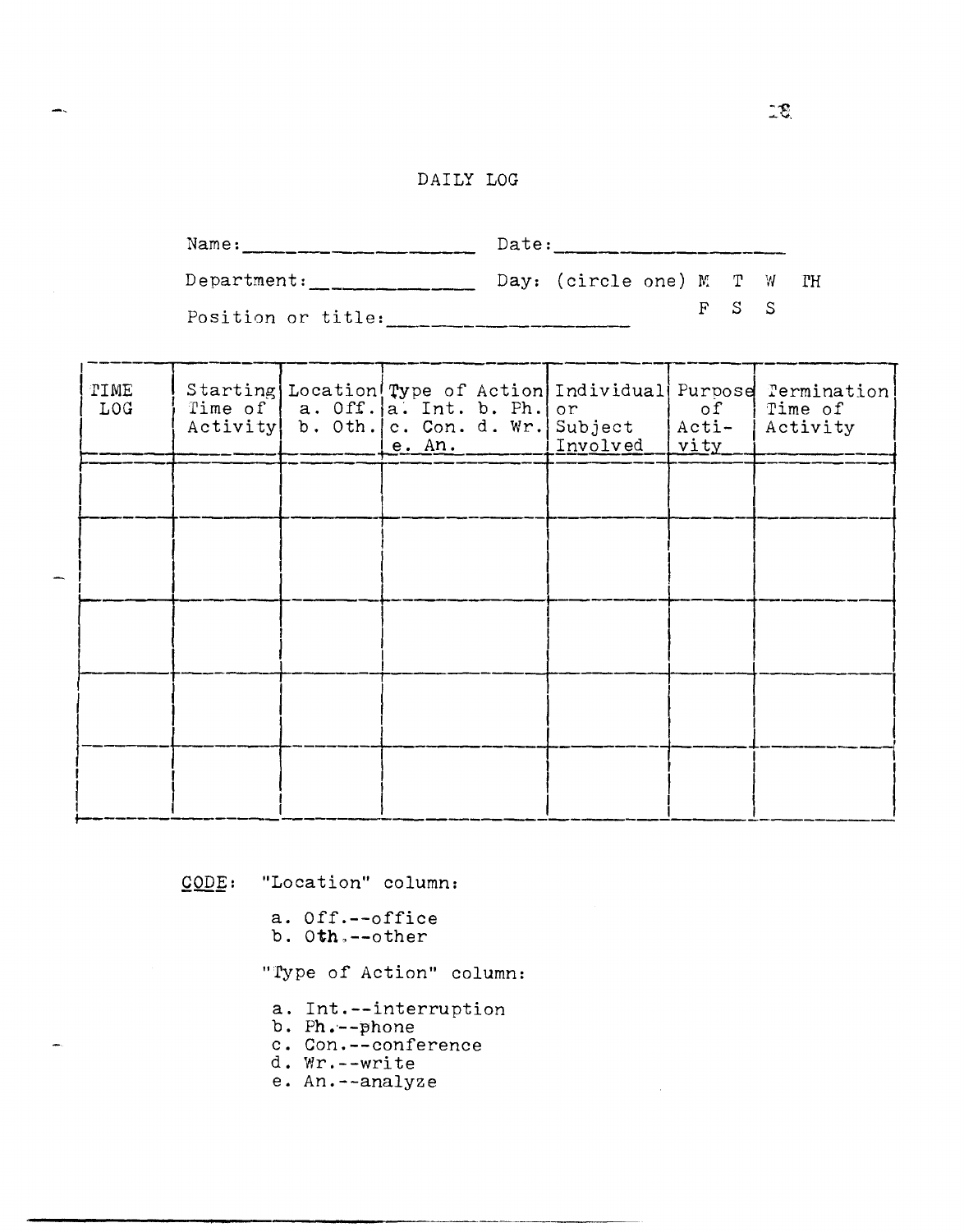# DAILY LOG

| Name:                                   | Date: |                            |  |  |         |  |  |  |
|-----------------------------------------|-------|----------------------------|--|--|---------|--|--|--|
| Department:                             |       | Day: (circle one) M T W TH |  |  |         |  |  |  |
| $D_{0}a^1 + i a_{0}a_{1} + i + 1 a_{2}$ |       |                            |  |  | $F-S-S$ |  |  |  |

Position or title:

| TIME<br><b>LOG</b> | Time of $ a.$ Off. $ a.$ Int. b. Ph. or<br>Activity b. Oth. c. Con. d. Wr. Subject | e. An. | Involved | of<br>$ $ Acti-<br>vity | Starting Location Type of Action Individual Purpose Termination<br>Time of<br>Activity |
|--------------------|------------------------------------------------------------------------------------|--------|----------|-------------------------|----------------------------------------------------------------------------------------|
|                    |                                                                                    |        |          |                         |                                                                                        |
|                    |                                                                                    |        |          |                         |                                                                                        |
|                    |                                                                                    |        |          |                         |                                                                                        |
|                    |                                                                                    |        |          |                         |                                                                                        |
|                    |                                                                                    |        |          |                         |                                                                                        |
|                    |                                                                                    |        |          |                         |                                                                                        |

 $\overline{CODE}$ : "Location" column:

- a. Off.--office b. Oth.--other
- 

"Type of Action" column:

- a. Int.--interruption
- 
- b. Ph.--phone<br>c. Con.--conference
- d. Wr. -- write
- e. An.--analyze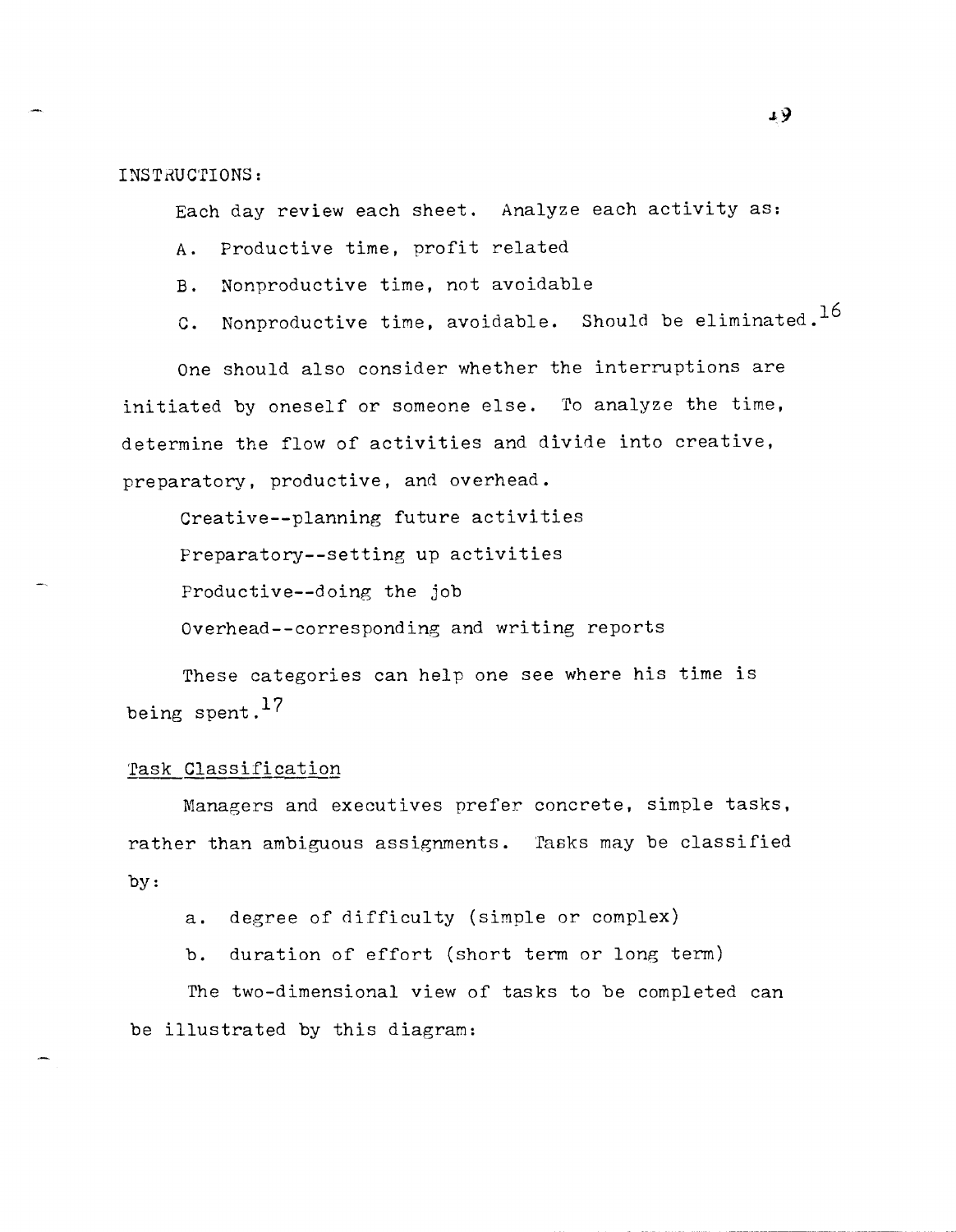INSTRUCTIONS:

Each day review each sheet. Analyze each activity as:

- A. Productive time, profit related
- B. Nonproductive time, not avoidable
- C. Nonproductive time, avoidable. Should be eliminated.<sup>16</sup>

One should also consider whether the interruptions are initiated by oneself or someone else. To analyze the time, determine the flow of activities and divide into creative, preparatory, productive, and overhead.

Creative--planning future activities Preparatory--setting up activities Productive--doing the job Overhead--corresponding and writing reports

These categories can help one see where his time is being spent.<sup>17</sup>

#### Task Classification

-------- ~-----------~~-

Managers and executives prefer concrete, simple tasks, rather than ambiguous assignments. 'fasks may be classified by:

a. degree of difficulty (simple or complex)

b. duration of effort (short term or long term)

The two-dimensional view of tasks to be completed can be illustrated by this diagram: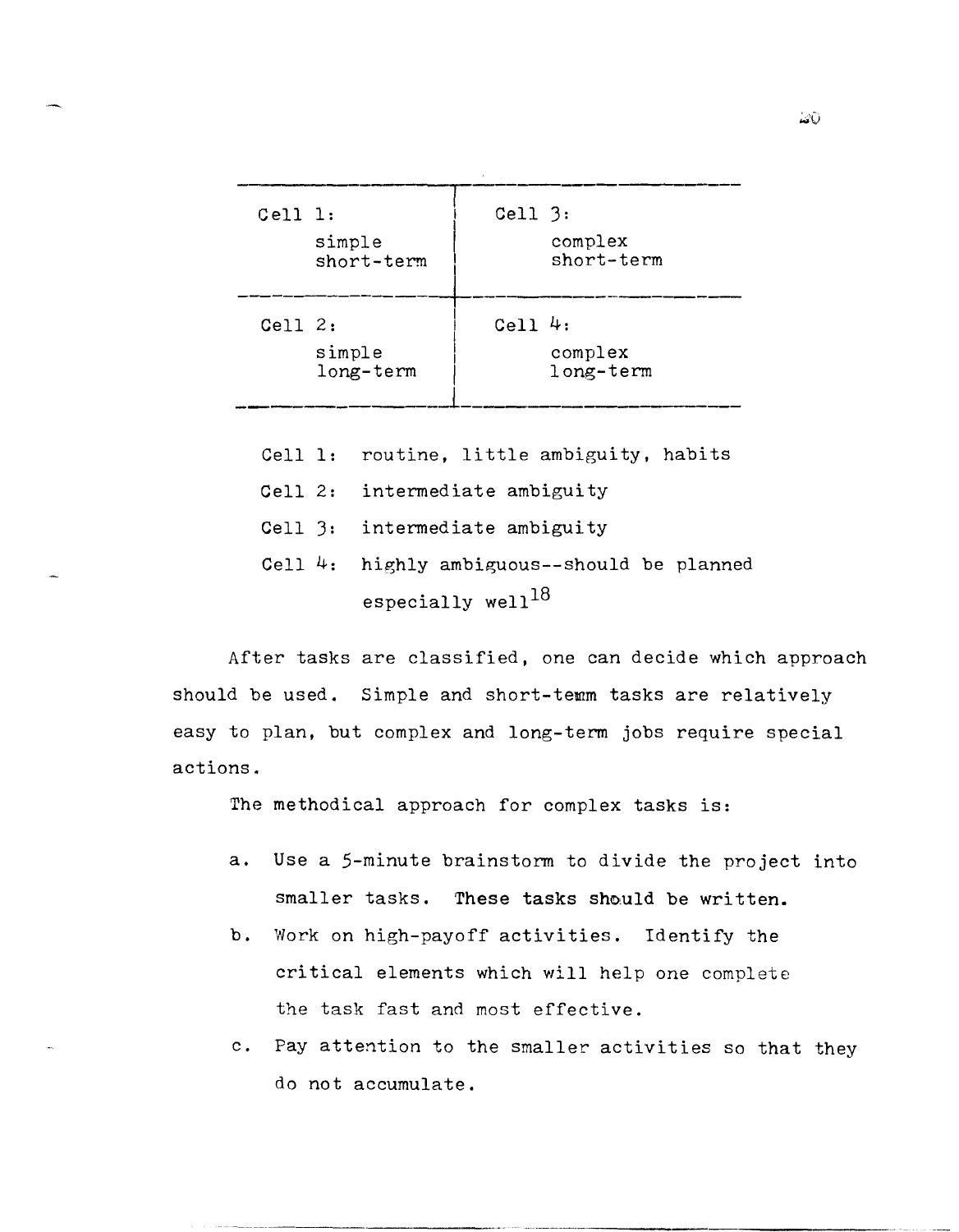| $Cell$ 1: | simple<br>short-term | $Cell$ $3:$ | complex<br>short-term |
|-----------|----------------------|-------------|-----------------------|
| Cell $2:$ | simple<br>long-term  | Cell $4:$   | complex<br>long-term  |

- Cell 1: routine, little ambiguity, habits
- Cell 2: intermediate ambiguity
- Cell 3: intermediate ambiguity
- Cell 4: highly ambiguous--should be planned especially well<sup>18</sup>

After tasks are classified, one can decide which approach should be used. Simple and short-temm tasks are relatively easy to plan, but complex and long-term jobs require special actions.

The methodical approach for complex tasks is:

- a. Use a 5-minute brainstorm to divide the project into smaller tasks. These tasks should be written.
- b. Work on high-payoff activities. Identify the critical elements which will help one complete the task fast and most effective.
- c. Pay attention to the smaller activities so that they do not accumulate.

-- -----------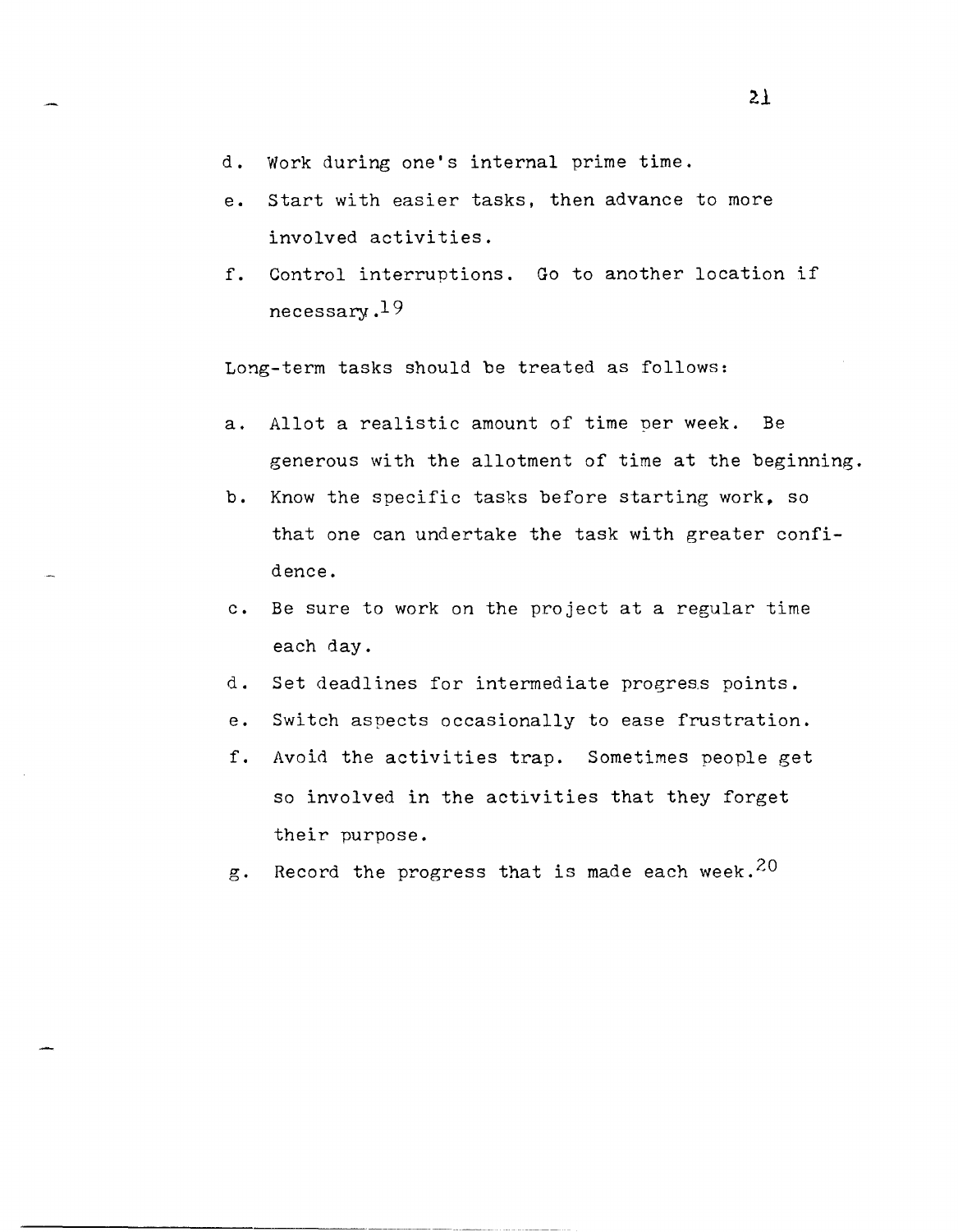- d. Work during one's internal prime time.
- e. start with easier tasks, then advance to more involved activities.
- f. Control interruptions. Go to another location if necessary .19

Long-term tasks should be treated as follows:

- a. Allot a realistic amount of time per week. Be generous with the allotment of time at the beginning.
- b. Know the specific tasks before starting work. so that one can undertake the task with greater confidence.
- c. Be sure to work on the project at a regular time each day.
- d. Set deadlines for intermediate progress points.
- e. Switch aspects occasionally to ease frustration.
- f. Avoid the activities trap. Sometimes people get so involved in the activities that they forget their purpose.
- g. Record the progress that is made each week.  $20$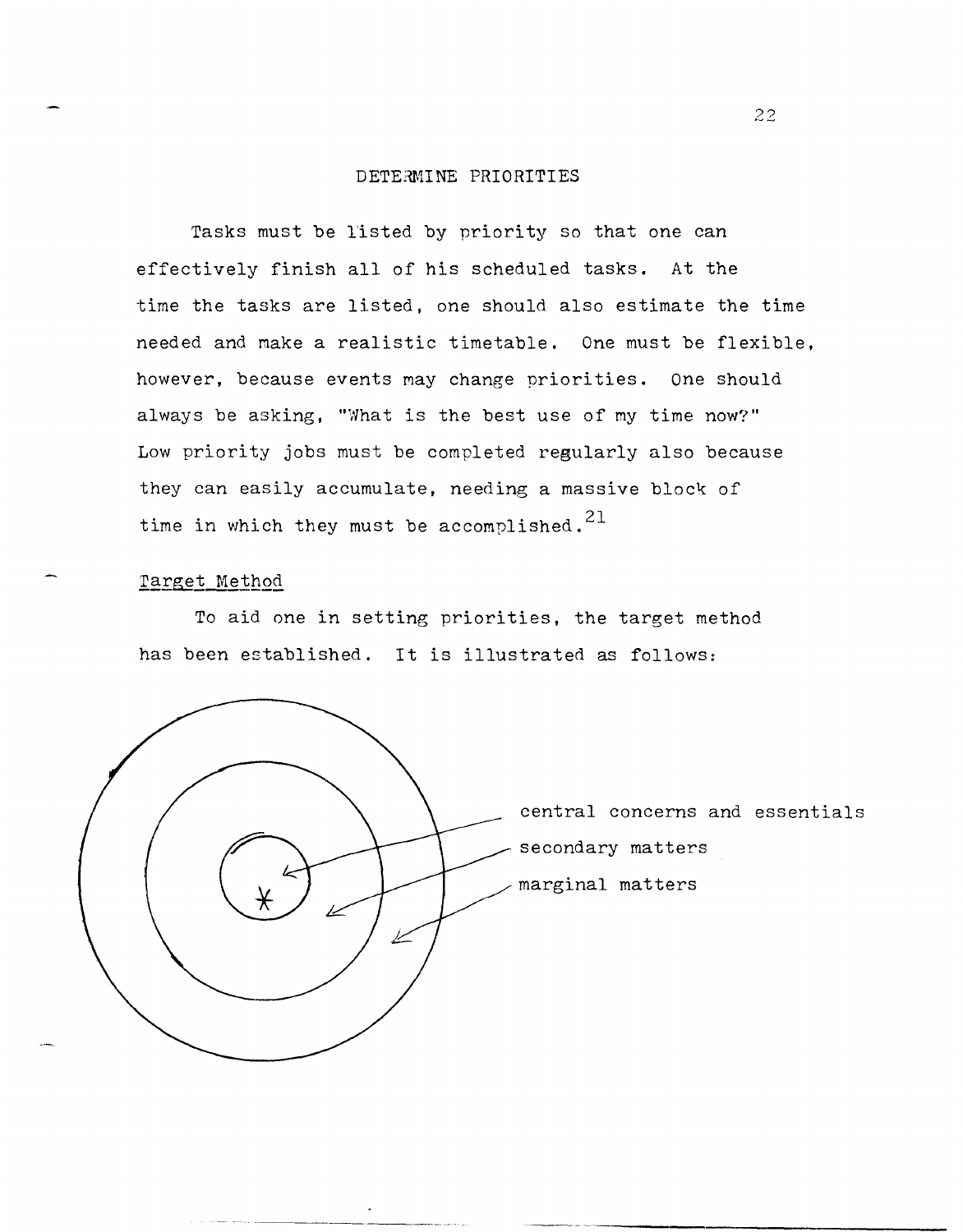#### DETERMINE PRIORITIES

Tasks must be l'isted by priority so that one can effectively finish all of his scheduled tasks. At the time the tasks are listed, one should also estimate the time needed and make a realistic timetable. One must be flexible, however, because events may change priorities. One should always be asking, "What is the best use of my time now?" Low priority jobs must be completed regularly also because they can easily accumulate, needing a massive block of time in which they must be accomplished.<sup>21</sup>

### Target Method

To aid one in setting priorities, the target method has been established. It is illustrated as follows:

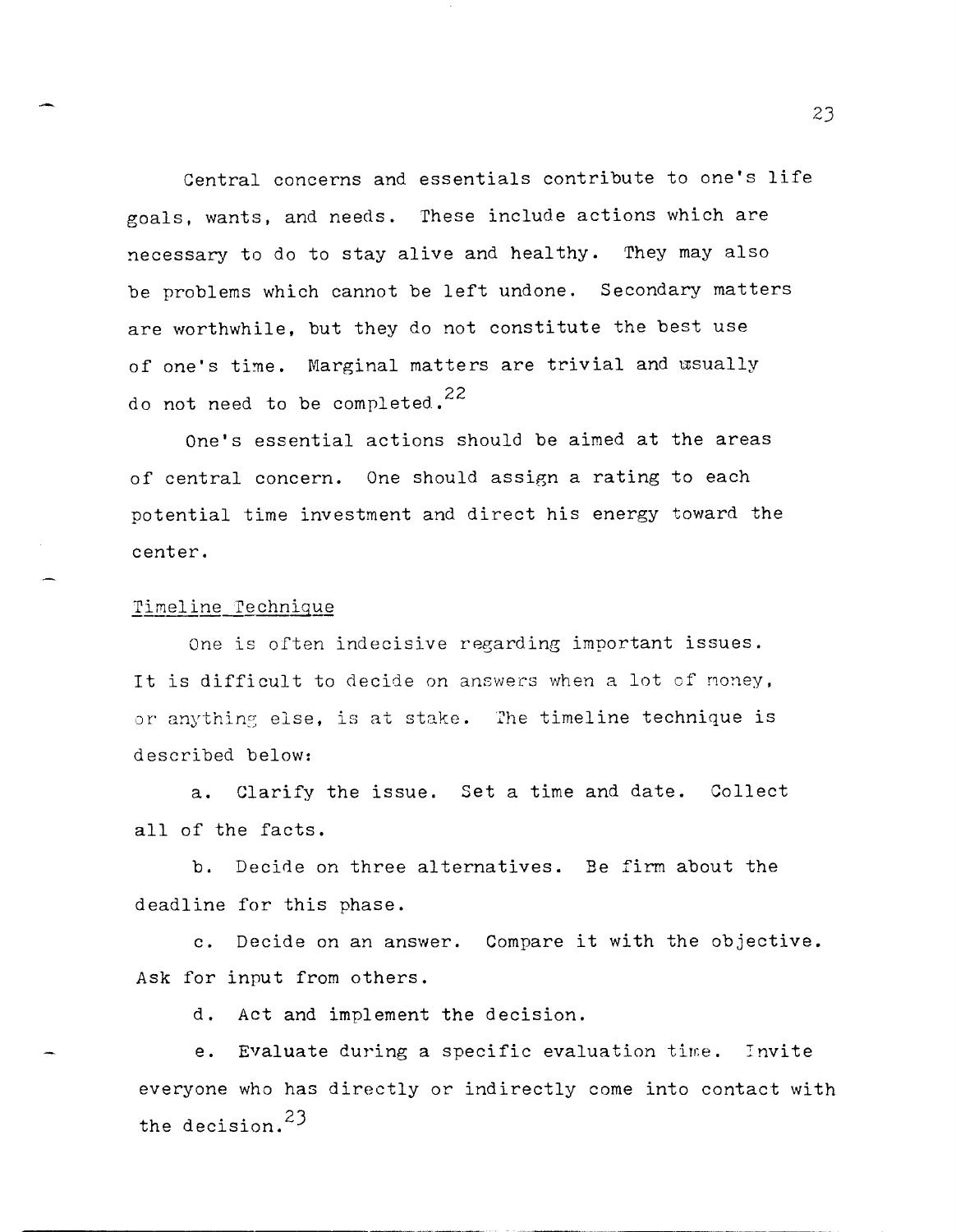Central concerns and essentials contribute to one's life goals, wants, and needs. These include actions which are necessary to do to stay alive and healthy. They may also be problems which cannot be left undone. Secondary matters are worthwhile, but they do not constitute the best use of one's time. Marginal matters are trivial and usually do not need to be completed. <sup>22</sup>

One's essential actions should be aimed at the areas of central concern. One should assign a rating to each potential time investment and direct his energy toward the center.

#### Timeline Technique

One is often indecisive regarding important issues. It is difficult to decide on answers when a lot of noney, or anything else, is at stake. The timeline technique is described below:

a. Clarify the issue. Set a time and date. Collect all of the facts.

b. Decide on three alternatives. Be firm about the deadline for this phase.

c. Decide on an answer. Compare it with the objective. Ask for input from others.

d. Act and implement the decision.

e. Evaluate during a specific evaluation time. Invite everyone who has directly or indirectly come into contact with the decision. <sup>23</sup>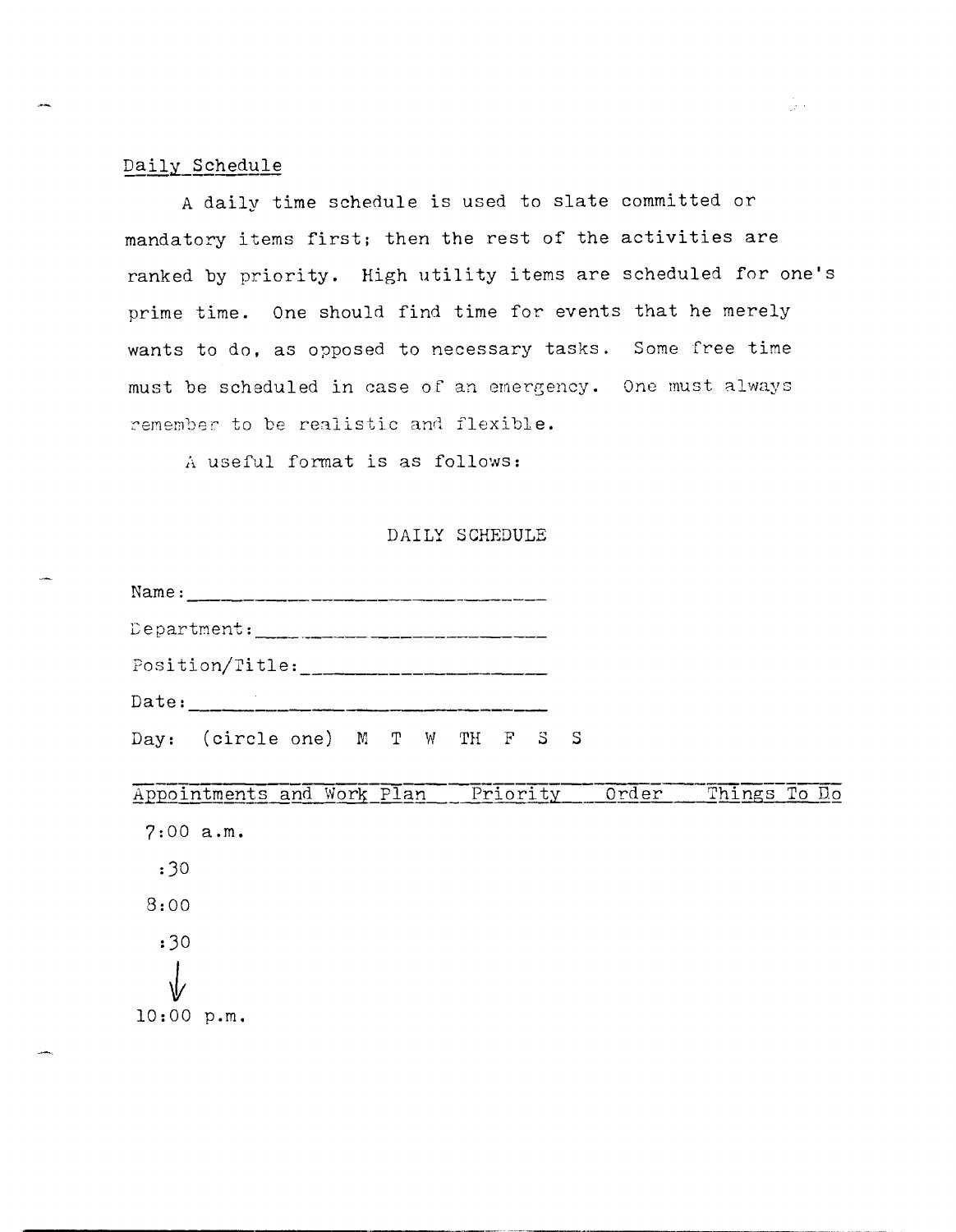### Daily Schedule

A daily time schedule is used to slate committed or mandatory items first; then the rest of the activities are ranked by priority. High utility items are scheduled for one's prime time. One should find time for events that he merely wants to do, as opposed to necessary tasks. Some free time must be scheduled in case of an emergency. One must always remember to be realistic and flexible.

A useful format is as follows:

### DAILY SCHEDULE

|                 | Name:                            |  |  |  |  |  |  |  |
|-----------------|----------------------------------|--|--|--|--|--|--|--|
|                 |                                  |  |  |  |  |  |  |  |
| Position/Title: |                                  |  |  |  |  |  |  |  |
|                 | Date:                            |  |  |  |  |  |  |  |
|                 | Day: (circle one) M T W TH F S S |  |  |  |  |  |  |  |

#### Things To Do Appointments and Work Plan Priority Order

 $7:00 a.m.$  $:30$  $8:00$  $:30$  $10:00 p.m.$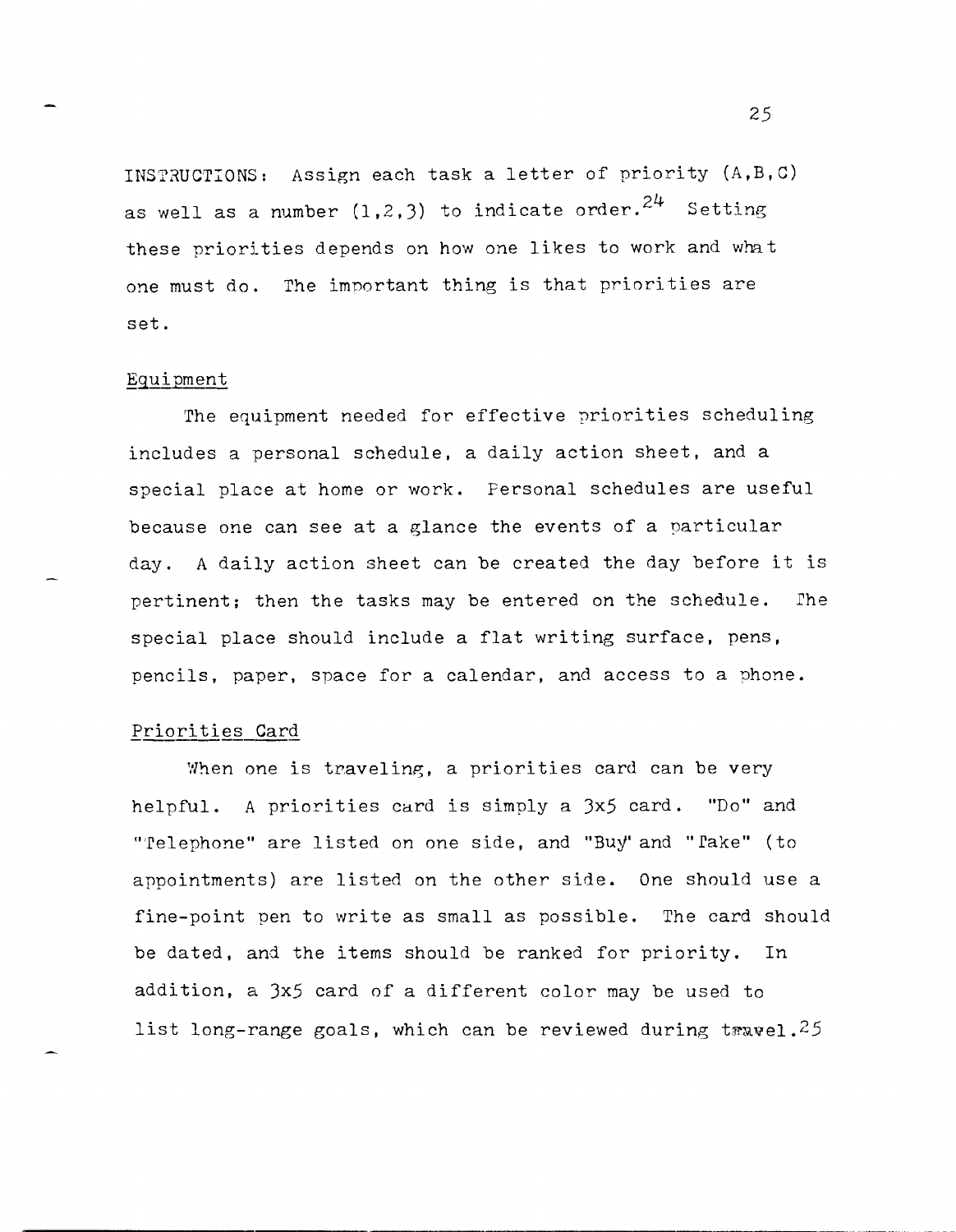INSTRUCTIONS: Assign each task a letter of priority  $(A, B, C)$ as well as a number  $(1,2,3)$  to indicate order.<sup>24</sup> Setting these priorities depends on how one likes to work and what one must do. The important thing is that priorities are set.

#### Eguipment

The equipment needed for effective priorities scheduling includes a personal schedule, a daily action sheet, and a special place at home or work. Personal schedules are useful because one can see at a glance the events of a particular day. A daily action sheet can be created the day before it is pertinent; then the tasks may be entered on the schedule. The special place should include a flat writing surface, pens, pencils, paper, space for a calendar, and access to a phone.

#### Priorities Card

When one is traveling, a priorities card can be very helpful. A priorities card is simply a 3x5 card. "Do" and "'Telephone" are listed on one side, and "Buy'and "Take" (to appointments) are listed on the other side. One should use a fine-point pen to write as small as possible. The card should be dated, and the items should be ranked for priority. In addition, a 3x5 card of a different color may be used to list long-range goals, which can be reviewed during t $x$ wel.<sup>25</sup>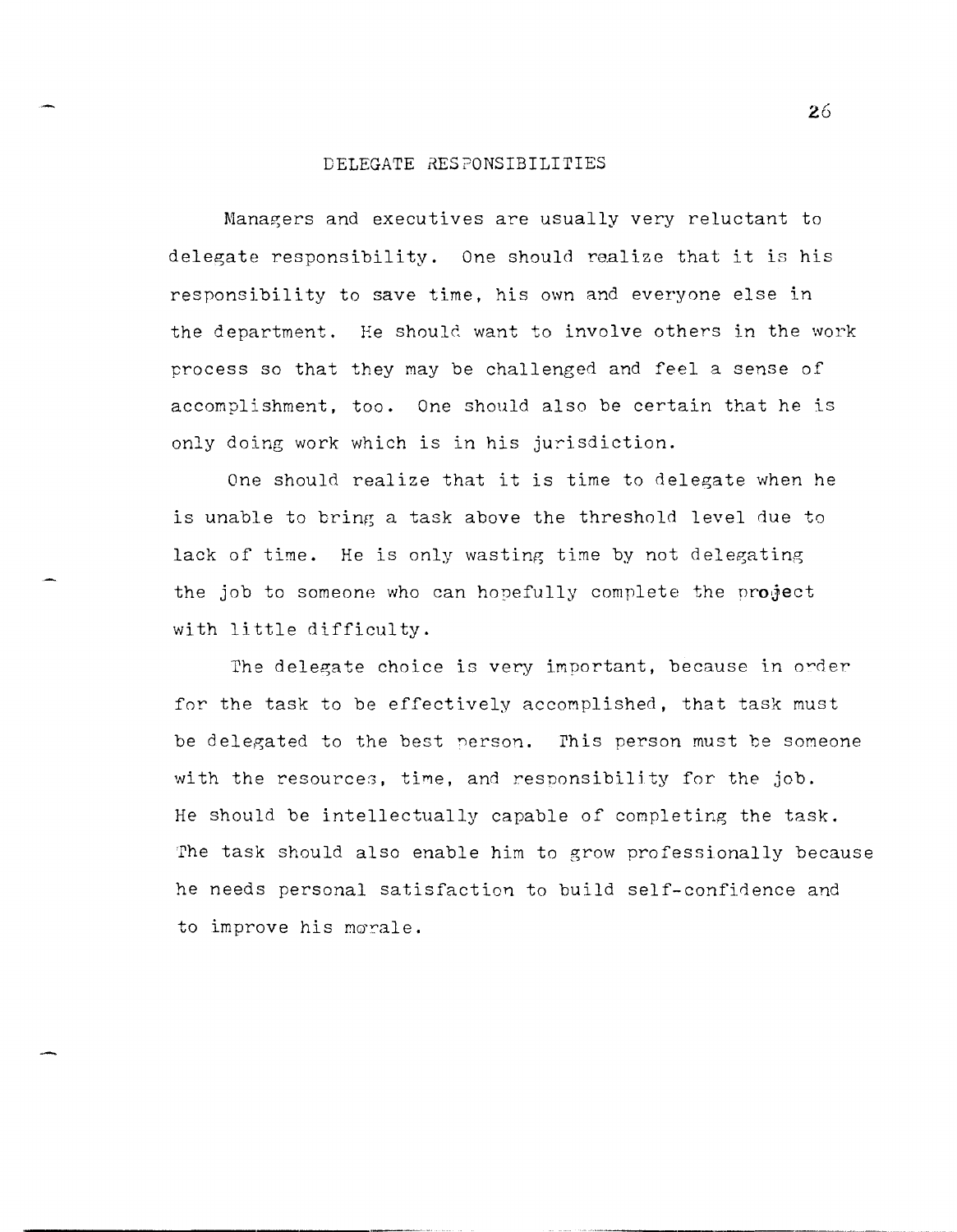#### DELEGATE RES?ONSIBILITIES

Managers and executives are usually very reluctant to delegate responsibility. One should realize that it is his responsibility to save time, his own and everyone else in the department. He should want to involve others in the work process so that they may be challenged and feel a sense of accomplishment, too. One should also be certain that he is only doing work which is in his jurisdiction.

One should realize that it is time to delegate when he is unable to bring a task above the threshold level due to lack of time. He is only wasting time by not delegating the job to someone who can hopefully complete the project with little difficulty.

The delegate choice is very important, because in order for the task to be effectively accomplished, that task must be delegated to the best person. This person must be someone with the resources, time, and responsibility for the  $job.$ He should be intellectually capable of completing the task. The task should also enable him to grow professionally because he needs personal satisfaction to build self-confidence and to improve his morale.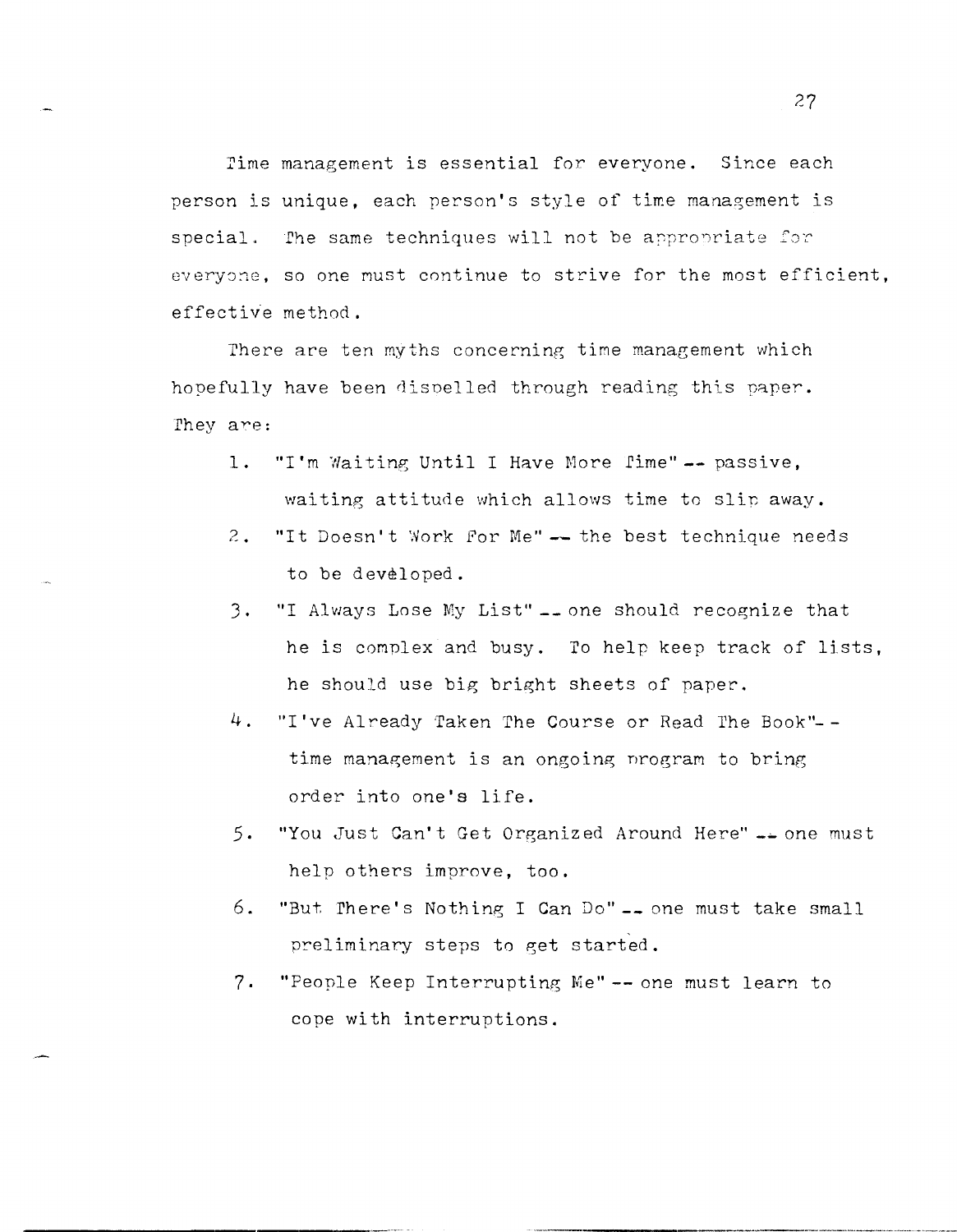rime management is essential for everyone. Since each person is unique, each person's style of time management is special. The same techniques will not be appropriate for everyone, so one must continue to strive for the most efficient, effective method.

There are ten myths concerning time management which hopefully have been dispelled through reading this paper. They are:

- 1. "I'm Waiting Until I Have More fime" -- passive, waiting attitude which allows time to slip away.
- 2. "It Doesn't Work for Me" -- the best technique needs to be developed.
- J. "I Always Lose My List" **\_\_** one should recognize that he is complex and busy. To help keep track of lists, he should use big bright sheets of paper.
- 4. "I've Already Taken The Course or Read The Book"-  $$ time management is an ongoing nrogram to bring order into one's life.
- 5. "You <Just Can't Get Organized Around Here" **\_\_** one must help others improve, too.
- 6. "Butrhere's Nothing I Can Do" **-\_** one must take small preliminary steps to get started.
- 7. "People Keep Interrupting Me" -- one must learn to cope with interruptions.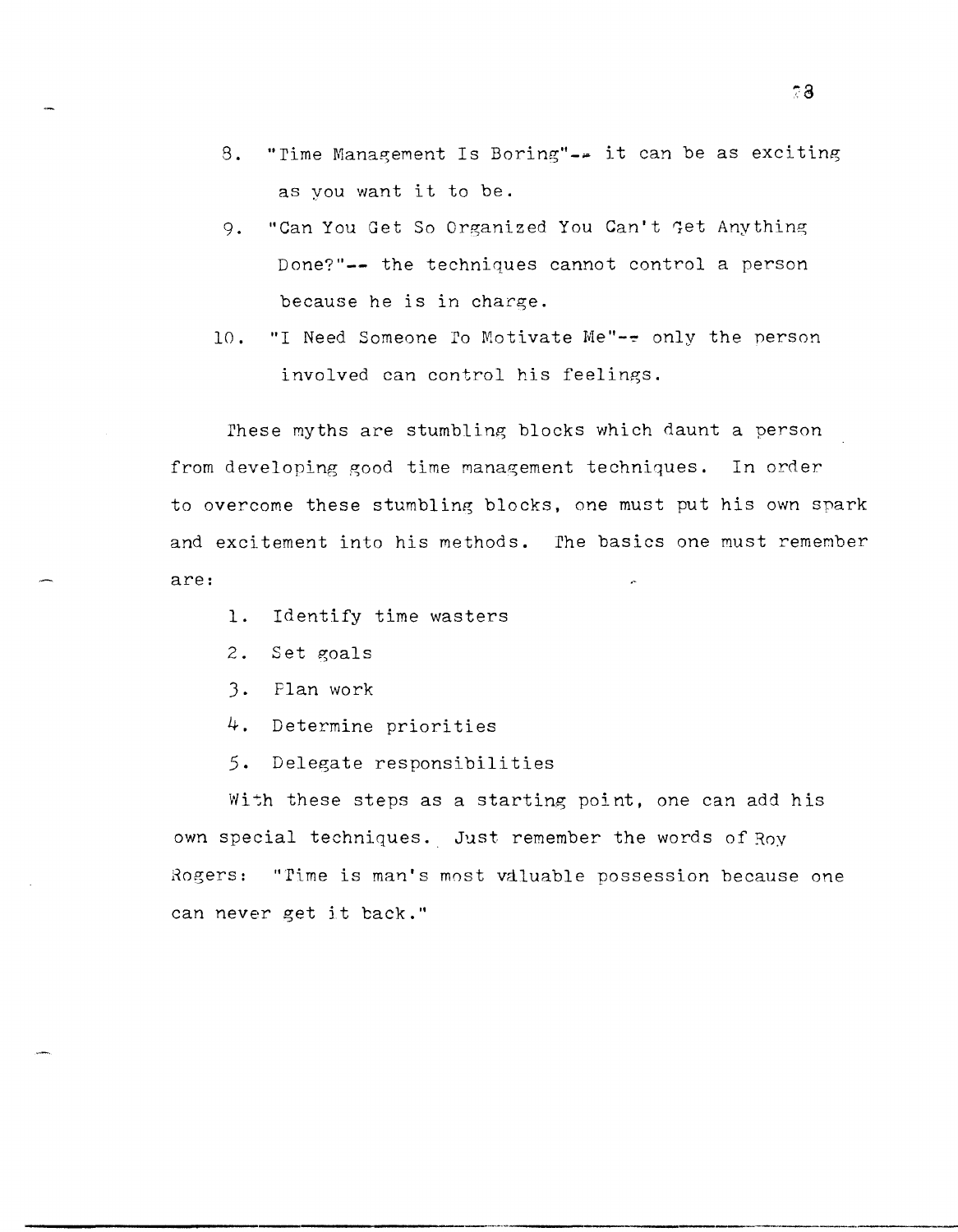- $8.$ "Time Management Is Boring"-- it can be as exciting as you want it to be.
- "Can You Get So Organized You Can't Get Anything 9. Done?"-- the techniques cannot control a person because he is in charge.
- "I Need Someone To Motivate Me"-- only the person  $10.$ involved can control his feelings.

These myths are stumbling blocks which daunt a person from developing good time management techniques. In order to overcome these stumbling blocks, one must put his own spark and excitement into his methods. The basics one must remember are:

- Identify time wasters  $1.$
- $2.$ Set goals
- 3. Plan work
- 4. Determine priorities
- 5. Delegate responsibilities

With these steps as a starting point, one can add his own special techniques. Just remember the words of Roy Rogers: "Time is man's most valuable possession because one can never get it back."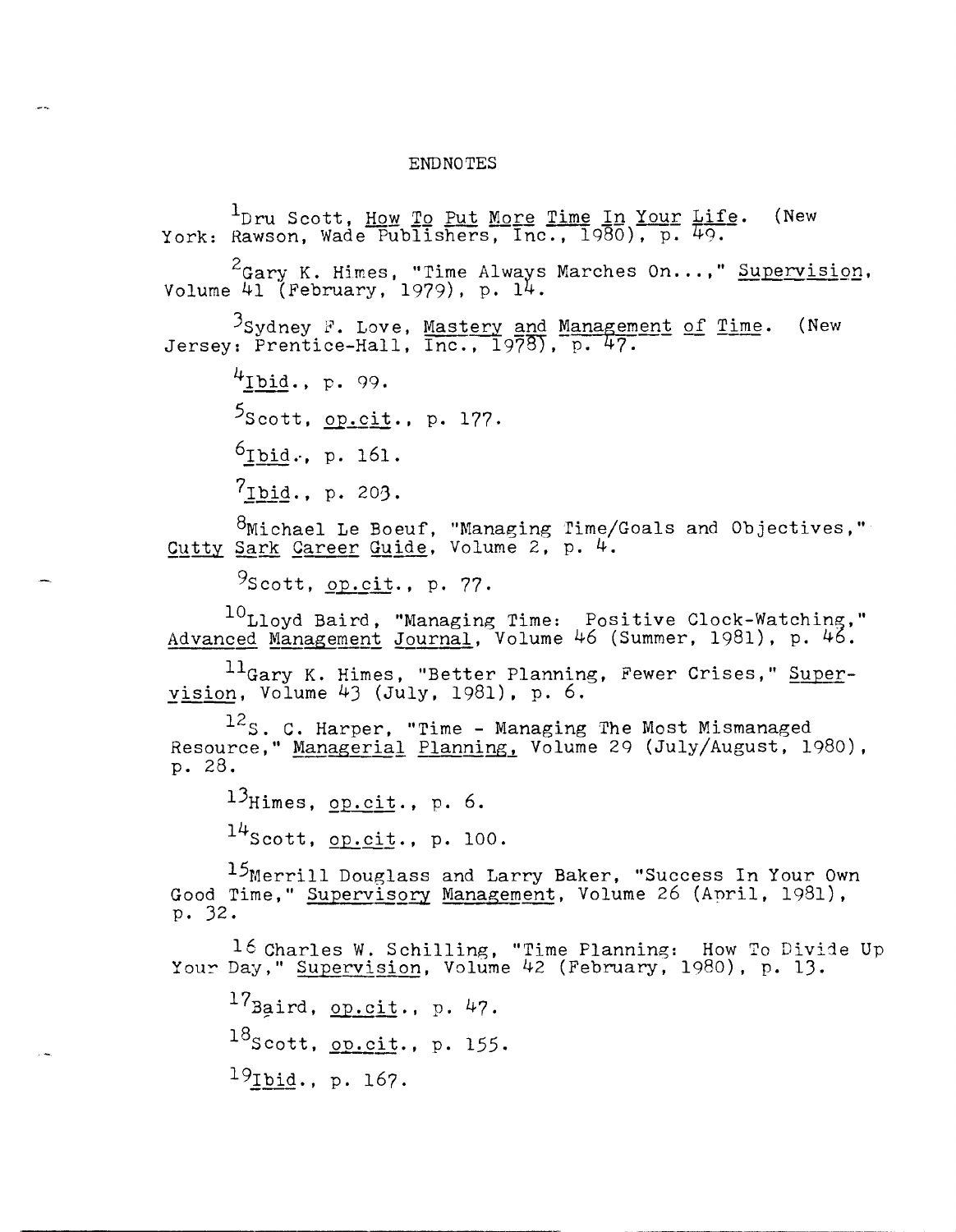#### **ENDNOTES**

<sup>1</sup>Dru Scott, <u>How To Put More Time In Your Life</u>.<br>York: Rawson, Wade Publishers, Inc., 1980), p. 49. (New <sup>2</sup>Gary K. Himes, "Time Always Marches On...," Supervision, Volume 41 (February, 1979), p. 14. <sup>3</sup>Sydney F. Love, <u>Mastery and Management of Time</u>. (New Jersey: Prentice-Hall, Inc., 1978), p. 47.  $4$ Ibid., p. 99.  $5$ Scott, op.cit., p. 177.  $6$ Ibid., p. 161.  $7_{\text{Ibid., p. 203.}}$ <sup>8</sup>Michael Le Boeuf, "Managing Time/Goals and Objectives,"<br>Cutty Sark Career Guide, Volume 2, p. 4.  $9$ Scott, op.cit., p. 77. <sup>10</sup>Lloyd Baird, "Managing Time: Positive Clock-Watching,"<br>Advanced Management Journal, Volume 46 (Summer, 1981), p. 46. <sup>11</sup>Gary K. Himes, "Better Planning, Fewer Crises," Super-<br>yision, Volume 43 (July, 1981), p. 6.  $12$ S. C. Harper, "Time - Managing The Most Mismanaged Resource, " Managerial Planning, Volume 29 (July/August, 1980), p. 28.  $13$ Himes, op.cit., p. 6.  $14$ Scott, op.cit., p. 100. 15Merrill Douglass and Larry Baker, "Success In Your Own Good Time," Supervisory Management, Volume 26 (April, 1981), p. 32. 16 Charles W. Schilling, "Time Planning: How To Divide Up Your Day," Supervision, Volume 42 (February, 1980), p. 13.  $17$ Baird, op.cit., p. 47.

 $^{18}$ Scott, op.cit., p. 155.

19Ibid., p. 167.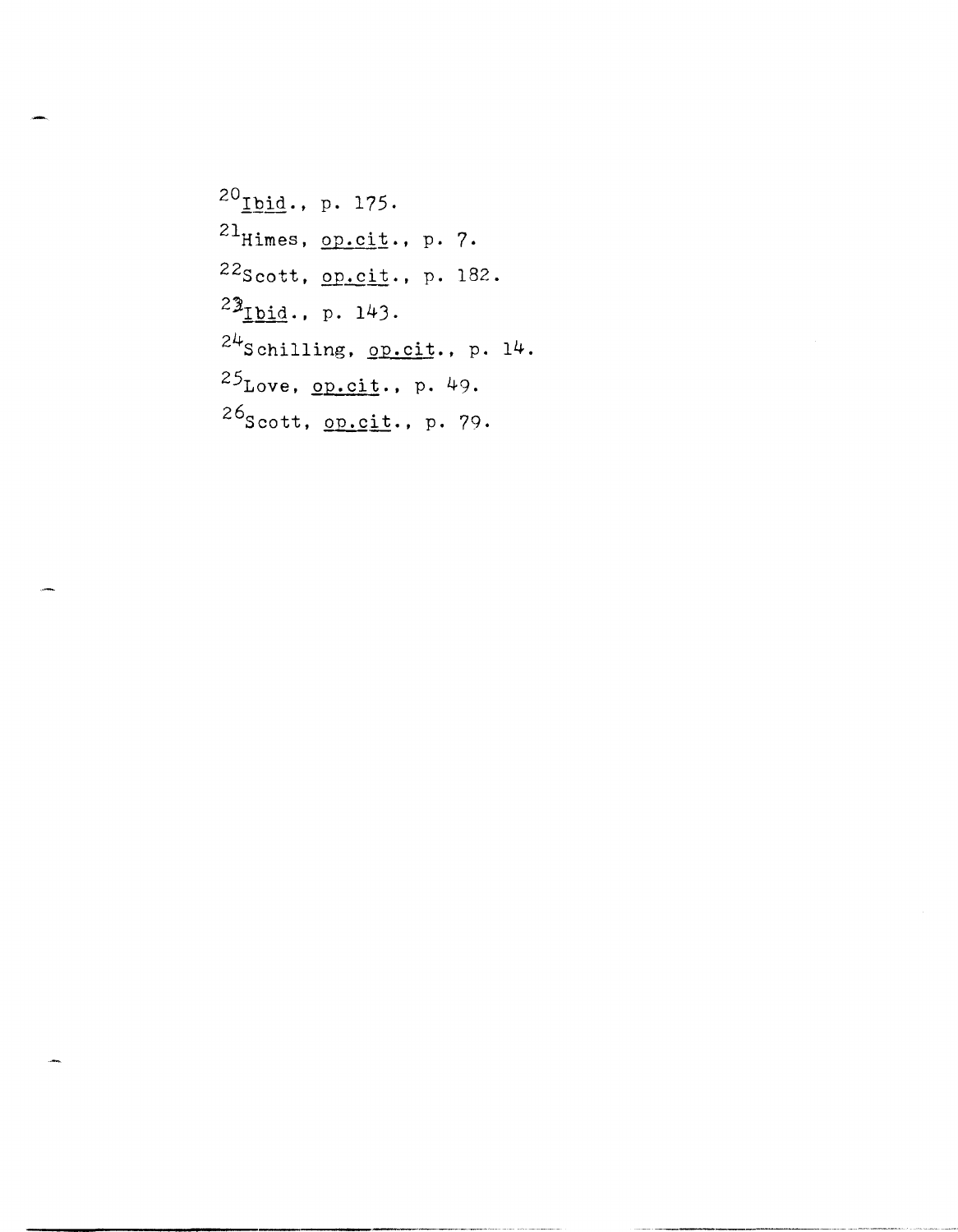$^{20}$  Ibid., p. 175.  $^{21}$ Himes, op.cit., p. 7.  $^{22}$ Scott, op.cit., p. 182.  $24$ Schilling, op.cit., p. 14.  $^{25}$ Love, op.cit., p. 49.  $^{26}$ Scott, op.cit., p. 79.